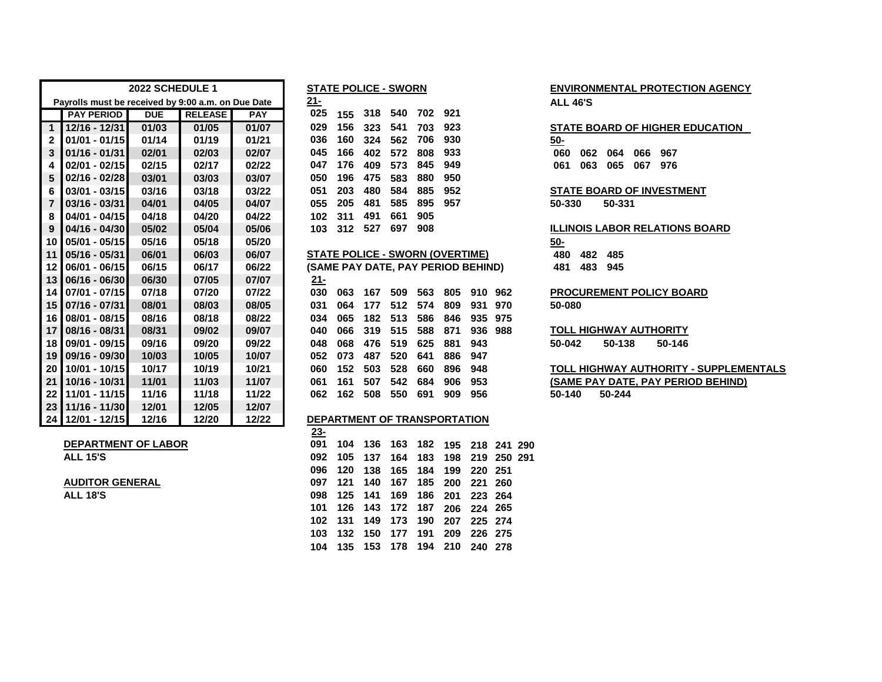|                |                                                    | 2022 SCHEDULE 1 |                |            |        | <b>STATE POLICE - SWORN</b>            |     |     |     |     |                 |         |            |     |        |     | <b>ENVIRONMENTAL PROTECT</b>    |
|----------------|----------------------------------------------------|-----------------|----------------|------------|--------|----------------------------------------|-----|-----|-----|-----|-----------------|---------|------------|-----|--------|-----|---------------------------------|
|                | Payrolls must be received by 9:00 a.m. on Due Date |                 |                |            | $21 -$ |                                        |     |     |     |     | <b>ALL 46'S</b> |         |            |     |        |     |                                 |
|                | <b>PAY PERIOD</b>                                  | <b>DUE</b>      | <b>RELEASE</b> | <b>PAY</b> | 025    | 155                                    | 318 | 540 | 702 | 921 |                 |         |            |     |        |     |                                 |
| $\mathbf{1}$   | 12/16 - 12/31                                      | 01/03           | 01/05          | 01/07      | 029    | 156                                    | 323 | 541 | 703 | 923 |                 |         |            |     |        |     | <b>STATE BOARD OF HIGHER E</b>  |
| 2              | $01/01 - 01/15$                                    | 01/14           | 01/19          | 01/21      | 036    | 160                                    | 324 | 562 | 706 | 930 |                 |         | $50 -$     |     |        |     |                                 |
| 3              | $01/16 - 01/31$                                    | 02/01           | 02/03          | 02/07      | 045    | 166                                    | 402 | 572 | 808 | 933 |                 |         | 060        | 062 | 064    | 066 | 967                             |
| 4              | $02/01 - 02/15$                                    | 02/15           | 02/17          | 02/22      | 047    | 176                                    | 409 | 573 | 845 | 949 |                 |         | 061        | 063 | 065    | 067 | 976                             |
| 5              | $02/16 - 02/28$                                    | 03/01           | 03/03          | 03/07      | 050    | 196                                    | 475 | 583 | 880 | 950 |                 |         |            |     |        |     |                                 |
| 6              | $03/01 - 03/15$                                    | 03/16           | 03/18          | 03/22      | 051    | 203                                    | 480 | 584 | 885 | 952 |                 |         |            |     |        |     | <b>STATE BOARD OF INVESTMI</b>  |
| $\overline{7}$ | $03/16 - 03/31$                                    | 04/01           | 04/05          | 04/07      | 055    | 205                                    | 481 | 585 | 895 | 957 |                 |         | 50-330     |     | 50-331 |     |                                 |
| 8              | $04/01 - 04/15$                                    | 04/18           | 04/20          | 04/22      | 102    | 311                                    | 491 | 661 | 905 |     |                 |         |            |     |        |     |                                 |
| 9              | 04/16 - 04/30                                      | 05/02           | 05/04          | 05/06      | 103    | 312                                    | 527 | 697 | 908 |     |                 |         |            |     |        |     | <b>ILLINOIS LABOR RELATIONS</b> |
| 10             | $05/01 - 05/15$                                    | 05/16           | 05/18          | 05/20      |        |                                        |     |     |     |     |                 |         | <u>50-</u> |     |        |     |                                 |
| 11             | 05/16 - 05/31                                      | 06/01           | 06/03          | 06/07      |        | <b>STATE POLICE - SWORN (OVERTIME)</b> |     |     |     |     |                 |         | 480        | 482 | 485    |     |                                 |
| 12             | $06/01 - 06/15$                                    | 06/15           | 06/17          | 06/22      |        | (SAME PAY DATE, PAY PERIOD BEHIND)     |     |     |     |     |                 |         | 481        | 483 | 945    |     |                                 |
| 13             | $ 06/16 - 06/30 $                                  | 06/30           | 07/05          | 07/07      | $21 -$ |                                        |     |     |     |     |                 |         |            |     |        |     |                                 |
| 14             | 07/01 - 07/15                                      | 07/18           | 07/20          | 07/22      | 030    | 063                                    | 167 | 509 | 563 | 805 | 910             | 962     |            |     |        |     | <b>PROCUREMENT POLICY BO.</b>   |
| 15             | 07/16 - 07/31                                      | 08/01           | 08/03          | 08/05      | 031    | 064                                    | 177 | 512 | 574 | 809 | 931             | 970     | 50-080     |     |        |     |                                 |
| 16             | 08/01 - 08/15                                      | 08/16           | 08/18          | 08/22      | 034    | 065                                    | 182 | 513 | 586 | 846 |                 | 935 975 |            |     |        |     |                                 |
| 17             | 08/16 - 08/31                                      | 08/31           | 09/02          | 09/07      | 040    | 066                                    | 319 | 515 | 588 | 871 | 936             | 988     |            |     |        |     | <b>TOLL HIGHWAY AUTHORITY</b>   |
| 18             | $09/01 - 09/15$                                    | 09/16           | 09/20          | 09/22      | 048    | 068                                    | 476 | 519 | 625 | 881 | 943             |         | 50-042     |     | 50-138 |     | 50-146                          |
| 19             | 09/16 - 09/30                                      | 10/03           | 10/05          | 10/07      | 052    | 073                                    | 487 | 520 | 641 | 886 | 947             |         |            |     |        |     |                                 |
| 20             | 10/01 - 10/15                                      | 10/17           | 10/19          | 10/21      | 060    | 152                                    | 503 | 528 | 660 | 896 | 948             |         |            |     |        |     | <b>TOLL HIGHWAY AUTHORITY</b>   |
| 21             | 10/16 - 10/31                                      | 11/01           | 11/03          | 11/07      | 061    | 161                                    | 507 | 542 | 684 | 906 | 953             |         |            |     |        |     | (SAME PAY DATE, PAY PERI        |
| 22             | 11/01 - 11/15                                      | 11/16           | 11/18          | 11/22      | 062    | 162                                    | 508 | 550 | 691 | 909 | 956             |         | 50-140     |     | 50-244 |     |                                 |
| 23             | 11/16 - 11/30                                      | 12/01           | 12/05          | 12/07      |        |                                        |     |     |     |     |                 |         |            |     |        |     |                                 |
|                | 24 12/01 - 12/15                                   | 12/16           | 12/20          | 12/22      |        | DEPARTMENT OF TRANSPORTATION           |     |     |     |     |                 |         |            |     |        |     |                                 |

**AUDITOR GENERAL 097 121 140 167 185 200 221 260**

| $01/16 - 01/31$            | 02/01 | 02/03 | 02/07 | 045         | 166 | 402 | 572         | 808 | 933                                    |         |             |  |
|----------------------------|-------|-------|-------|-------------|-----|-----|-------------|-----|----------------------------------------|---------|-------------|--|
| $02/01 - 02/15$            | 02/15 | 02/17 | 02/22 | 047         | 176 | 409 | 573         | 845 | 949                                    |         |             |  |
| $02/16 - 02/28$            | 03/01 | 03/03 | 03/07 | 050         | 196 | 475 | 583         | 880 | 950                                    |         |             |  |
| $03/01 - 03/15$            | 03/16 | 03/18 | 03/22 | 051         | 203 | 480 | 584         | 885 | 952                                    |         |             |  |
| $03/16 - 03/31$            | 04/01 | 04/05 | 04/07 | 055         | 205 | 481 | 585         | 895 | 957                                    |         |             |  |
| 04/01 - 04/15              | 04/18 | 04/20 | 04/22 | 102         | 311 | 491 | 661         | 905 |                                        |         |             |  |
| 04/16 - 04/30              | 05/02 | 05/04 | 05/06 | 103         | 312 | 527 | 697         | 908 |                                        |         |             |  |
| 05/01 - 05/15              | 05/16 | 05/18 | 05/20 |             |     |     |             |     |                                        |         |             |  |
| $05/16 - 05/31$            | 06/01 | 06/03 | 06/07 |             |     |     |             |     | <b>STATE POLICE - SWORN (OVERTIME)</b> |         |             |  |
| 06/01 - 06/15              | 06/15 | 06/17 | 06/22 |             |     |     |             |     | (SAME PAY DATE, PAY PERIOD BEHIND)     |         |             |  |
| 06/16 - 06/30              | 06/30 | 07/05 | 07/07 | <u> 21-</u> |     |     |             |     |                                        |         |             |  |
| 07/01 - 07/15              | 07/18 | 07/20 | 07/22 | 030         | 063 | 167 | 509         | 563 | 805                                    | 910 962 |             |  |
| 07/16 - 07/31              | 08/01 | 08/03 | 08/05 | 031         | 064 | 177 | 512         | 574 | 809                                    | 931     | 970         |  |
| 08/01 - 08/15              | 08/16 | 08/18 | 08/22 | 034         | 065 | 182 | 513         | 586 | 846                                    | 935     | 975         |  |
| 08/16 - 08/31              | 08/31 | 09/02 | 09/07 | 040         | 066 | 319 | 515         | 588 | 871                                    | 936 988 |             |  |
| 09/01 - 09/15              | 09/16 | 09/20 | 09/22 | 048         | 068 | 476 | 519         | 625 | 881                                    | 943     |             |  |
| 09/16 - 09/30              | 10/03 | 10/05 | 10/07 | 052         | 073 | 487 | 520         | 641 | 886                                    | 947     |             |  |
| 10/01 - 10/15              | 10/17 | 10/19 | 10/21 | 060         | 152 | 503 | 528         | 660 | 896                                    | 948     |             |  |
| 10/16 - 10/31              | 11/01 | 11/03 | 11/07 | 061         | 161 | 507 | 542         | 684 | 906                                    | 953     |             |  |
| 11/01 - 11/15              | 11/16 | 11/18 | 11/22 | 062         | 162 | 508 | 550         | 691 | 909                                    | 956     |             |  |
| 11/16 - 11/30              | 12/01 | 12/05 | 12/07 |             |     |     |             |     |                                        |         |             |  |
| 12/01 - 12/15              | 12/16 | 12/20 | 12/22 |             |     |     |             |     | DEPARTMENT OF TRANSPORTATION           |         |             |  |
|                            |       |       |       | <u>23-</u>  |     |     |             |     |                                        |         |             |  |
| <b>DEPARTMENT OF LABOR</b> |       |       |       | 091         | 104 | 136 | 163         | 182 | 195                                    |         | 218 241 290 |  |
| <b>ALL 15'S</b>            |       |       |       | 092         | 105 | 137 | 164         | 183 | 198                                    | 219     | 250 291     |  |
|                            |       |       |       | 096         | 120 | 138 | 165         | 184 | 199                                    | 220     | 251         |  |
| AUDITOR CENERAL            |       |       |       | 00.7        | 191 |     | 140 167 195 |     | ה ה                                    | ດດ4     | nen         |  |

**ALL 18'S 098 125 141 169 186 201 223 264 126 143 172 187 206 224 265 131 149 173 190 207 225 274 132 150 177 191 209 226 275 135 153 178 194 210 240 278**

# **2022 SCHEDULE 1 STATE POLICE - SWORN ENVIRONMENTAL PROTECTION AGENCY**

|  | 029 156 323 541 703 923 |  | <b>STATE BOARD OF HIGHER EDUCATION</b> |
|--|-------------------------|--|----------------------------------------|
|  | 036 160 324 562 706 930 |  | -50                                    |
|  | 045 166 402 572 808 933 |  | 060 062 064 066 967                    |
|  | 047 176 409 573 845 949 |  | 061 063 065 067 976                    |
|  | 050 196 475 583 880 950 |  |                                        |

**03/01 - 03/15 03/16 03/18 03/22 051 203 480 584 885 952 STATE BOARD OF INVESTMENT**

#### **ILLINOIS LABOR RELATIONS BOARD**

| <u>50-</u> |         |  |
|------------|---------|--|
| 480        | 482 485 |  |
| 481        | 483 945 |  |

**PROCUREMENT POLICY BOARD**

 **10/01 - 10/15 10/17 10/19 10/21 060 152 503 528 660 896 948 TOLL HIGHWAY AUTHORITY - SUPPLEMENTALS 10/16 - 10/31 11/01 11/03 11/07 061 161 507 542 684 906 953 (SAME PAY DATE, PAY PERIOD BEHIND) 11/01 - 11/15 11/16 11/18 11/22 062 162 508 550 691 909 956 50-140 50-244**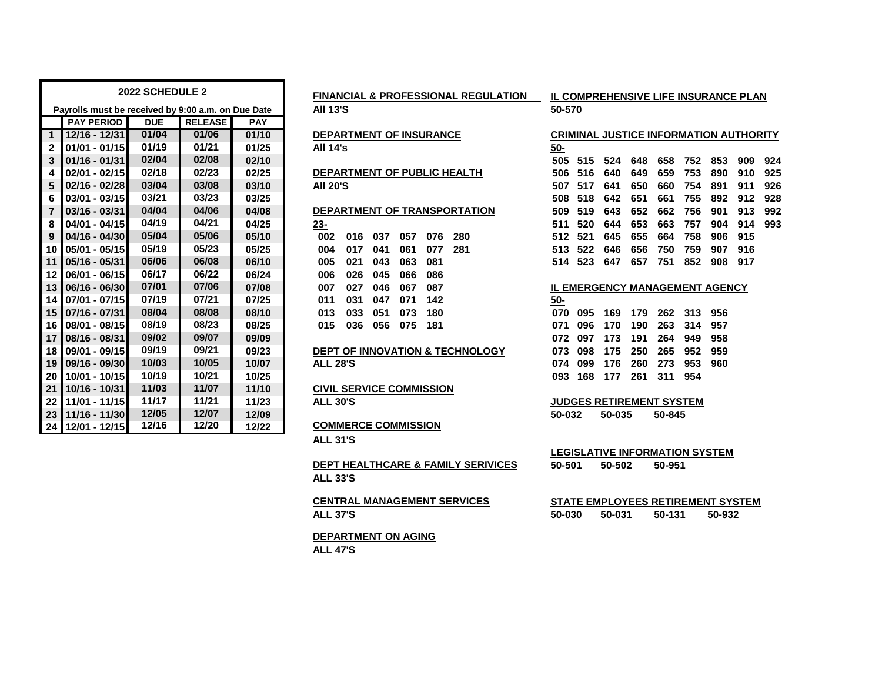| <b>2022 SCHEDULE 2</b> |                                                    |            |                |            | <b>FINANCIAL &amp; PROFESSIONAL REGULATION</b> | IL COMPREHENSIVE LIFE INSURANO        |        |     |        |     |     |  |  |
|------------------------|----------------------------------------------------|------------|----------------|------------|------------------------------------------------|---------------------------------------|--------|-----|--------|-----|-----|--|--|
|                        | Payrolls must be received by 9:00 a.m. on Due Date |            |                |            | <b>All 13'S</b>                                | 50-570                                |        |     |        |     |     |  |  |
|                        | <b>PAY PERIOD</b>                                  | <b>DUE</b> | <b>RELEASE</b> | <b>PAY</b> |                                                |                                       |        |     |        |     |     |  |  |
| $\mathbf{1}$           | 12/16 - 12/31                                      | 01/04      | 01/06          | 01/10      | <b>DEPARTMENT OF INSURANCE</b>                 | <b>CRIMINAL JUSTICE INFORMATION A</b> |        |     |        |     |     |  |  |
| $\mathbf{2}$           | $01/01 - 01/15$                                    | 01/19      | 01/21          | 01/25      | <b>All 14's</b>                                | <u>50-</u>                            |        |     |        |     |     |  |  |
| 3                      | $01/16 - 01/31$                                    | 02/04      | 02/08          | 02/10      |                                                | 505<br>515                            | 524    | 648 | 658    | 752 | 853 |  |  |
| 4                      | $02/01 - 02/15$                                    | 02/18      | 02/23          | 02/25      | DEPARTMENT OF PUBLIC HEALTH                    | 506<br>516                            | 640    | 649 | 659    | 753 | 890 |  |  |
| 5                      | 02/16 - 02/28                                      | 03/04      | 03/08          | 03/10      | <b>AII 20'S</b>                                | 507<br>517                            | 641    | 650 | 660    | 754 | 891 |  |  |
| 6                      | $03/01 - 03/15$                                    | 03/21      | 03/23          | 03/25      |                                                | 518<br>508                            | 642    | 651 | 661    | 755 | 892 |  |  |
| $\overline{7}$         | $03/16 - 03/31$                                    | 04/04      | 04/06          | 04/08      | DEPARTMENT OF TRANSPORTATION                   | 509<br>519                            | 643    | 652 | 662    | 756 | 901 |  |  |
| 8                      | 04/01 - 04/15                                      | 04/19      | 04/21          | 04/25      | <u>23-</u>                                     | 520<br>511                            | 644    | 653 | 663    | 757 | 904 |  |  |
| 9                      | $04/16 - 04/30$                                    | 05/04      | 05/06          | 05/10      | 002<br>057<br>076<br>280<br>016<br>037         | 512<br>521                            | 645    | 655 | 664    | 758 | 906 |  |  |
| 10                     | $05/01 - 05/15$                                    | 05/19      | 05/23          | 05/25      | 004<br>017<br>041<br>061<br>077<br>281         | 513<br>522                            | 646    | 656 | 750    | 759 | 907 |  |  |
| 11                     | $05/16 - 05/31$                                    | 06/06      | 06/08          | 06/10      | 021<br>043<br>063<br>081<br>005                | 514<br>523                            | 647    | 657 | 751    | 852 | 908 |  |  |
| $12 \,$                | $06/01 - 06/15$                                    | 06/17      | 06/22          | 06/24      | 026<br>045<br>006<br>066<br>086                |                                       |        |     |        |     |     |  |  |
| 13                     | 06/16 - 06/30                                      | 07/01      | 07/06          | 07/08      | 027<br>046<br>007<br>067<br>087                | <b>IL EMERGENCY MANAGEMENT AGE</b>    |        |     |        |     |     |  |  |
| 14                     | 07/01 - 07/15                                      | 07/19      | 07/21          | 07/25      | 031<br>047<br>071<br>142<br>011                | $50-$                                 |        |     |        |     |     |  |  |
| 15                     | $07/16 - 07/31$                                    | 08/04      | 08/08          | 08/10      | 180<br>013<br>033<br>051<br>073                | 070<br>095                            | 169    | 179 | 262    | 313 | 956 |  |  |
| 16                     | 08/01 - 08/15                                      | 08/19      | 08/23          | 08/25      | 015<br>036<br>056<br>075<br>181                | 096<br>071                            | 170    | 190 | 263    | 314 | 957 |  |  |
| 17                     | 08/16 - 08/31                                      | 09/02      | 09/07          | 09/09      |                                                | 072<br>097                            | 173    | 191 | 264    | 949 | 958 |  |  |
| 18                     | 09/01 - 09/15                                      | 09/19      | 09/21          | 09/23      | DEPT OF INNOVATION & TECHNOLOGY                | 098<br>073                            | 175    | 250 | 265    | 952 | 959 |  |  |
| 19                     | 09/16 - 09/30                                      | 10/03      | 10/05          | 10/07      | <b>ALL 28'S</b>                                | 074<br>099                            | 176    | 260 | 273    | 953 | 960 |  |  |
| 20                     | 10/01 - 10/15                                      | 10/19      | 10/21          | 10/25      |                                                | 168<br>093                            | 177    | 261 | 311    | 954 |     |  |  |
| 21                     | 10/16 - 10/31                                      | 11/03      | 11/07          | 11/10      | <b>CIVIL SERVICE COMMISSION</b>                |                                       |        |     |        |     |     |  |  |
| 22                     | 11/01 - 11/15                                      | 11/17      | 11/21          | 11/23      | <b>ALL 30'S</b>                                | <b>JUDGES RETIREMENT SYSTEM</b>       |        |     |        |     |     |  |  |
| 23                     | 11/16 - 11/30                                      | 12/05      | 12/07          | 12/09      |                                                | 50-032                                | 50-035 |     | 50-845 |     |     |  |  |
|                        | 24 12/01 - 12/15                                   | 12/16      | 12/20          | 12/22      | <b>COMMERCE COMMISSION</b>                     |                                       |        |     |        |     |     |  |  |

|  |  |  |  | <b>FINANCIAL &amp; PROFESSIONAL REGULATION</b> |
|--|--|--|--|------------------------------------------------|
|--|--|--|--|------------------------------------------------|

# **DEPARTMENT OF PUBLIC HEALTH**

| zs- |                         |  |  |
|-----|-------------------------|--|--|
|     | 002 016 037 057 076 280 |  |  |
|     | 004 017 041 061 077 281 |  |  |
|     | 005 021 043 063 081     |  |  |
|     | 006 026 045 066 086     |  |  |
|     | 007 027 046 067 087     |  |  |
|     | 011 031 047 071 142     |  |  |
|     | 013 033 051 073 180     |  |  |
|     | 015 036 056 075 181     |  |  |
|     |                         |  |  |

#### **09/01 - 09/15 09/19 09/21 09/23 DEPT OF INNOVATION & TECHNOLOGY 073 098 175 250 265 952 959**

# **10/16 - 10/31 11/03 11/07 11/10 CIVIL SERVICE COMMISSION**

## **12/01 - 12/15 12/16 12/20 12/22 COMMERCE COMMISSION**

**ALL 31'S**

### **DEPT HEALTHCARE & FAMILY SERIVICES 50-501 50-50 ALL 33'S**

**DEPARTMENT ON AGING ALL 47'S**

# **IL COMPREHENSIVE LIFE INSURANCE PLAN**

## **12/16 - 12/31 01/04 01/06 01/10 DEPARTMENT OF INSURANCE CRIMINAL JUSTICE INFORMATION AUTHORITY 01/16 - 01/31 02/04 02/08 02/10 505 515 524 648 658 752 853 909 924 02/01 - 02/15 02/18 02/23 02/25 506 516 640 649 659 753 890 910 925 02/16 - 02/28 03/04 03/08 03/10 All 20'S 507 517 641 650 660 754 891 911 926 03/01 - 03/15 03/21 03/23 03/25 508 518 642 651 661 755 892 912 928 03/16 - 03/31 04/04 04/06 04/08 DEPARTMENT OF TRANSPORTATION 509 519 643 652 662 756 901 913 992 04/01 - 04/15 04/19 04/21 04/25 23- 511 520 644 653 663 757 904 914 993 04/16 - 04/30 05/04 05/06 05/10 002 016 037 057 076 280 512 521 645 655 664 758 906 915 05/01 - 05/15 05/19 05/23 05/25 004 017 041 061 077 281 513 522 646 656 750 759 907 916 05/16 - 05/31 06/06 06/08 06/10 005 021 043 063 081 514 523 647 657 751 852 908 917**

### **06/16 - 06/30 07/01 07/06 07/08 007 027 046 067 087 IL EMERGENCY MANAGEMENT AGENCY**

| 50- |  |                             |  |
|-----|--|-----------------------------|--|
|     |  | 070 095 169 179 262 313 956 |  |
|     |  | 071 096 170 190 263 314 957 |  |
|     |  | 072 097 173 191 264 949 958 |  |
|     |  | 073 098 175 250 265 952 959 |  |
|     |  | 074 099 176 260 273 953 960 |  |
|     |  | 093 168 177 261 311 954     |  |
|     |  |                             |  |

|        |        | JUDGES RETIREMENT SYSTEM |
|--------|--------|--------------------------|
| 50-032 | 50-035 | 50-845                   |

|        | LEGISLATIVE INFORMATION SYSTEM |        |  |
|--------|--------------------------------|--------|--|
| 50-501 | 50-502                         | 50-951 |  |

### **CENTRAL MANAGEMENT SERVICES STATE EMPLOYEES RETIREMENT SYSTEM ALL 37'S 50-030 50-031 50-131 50-932**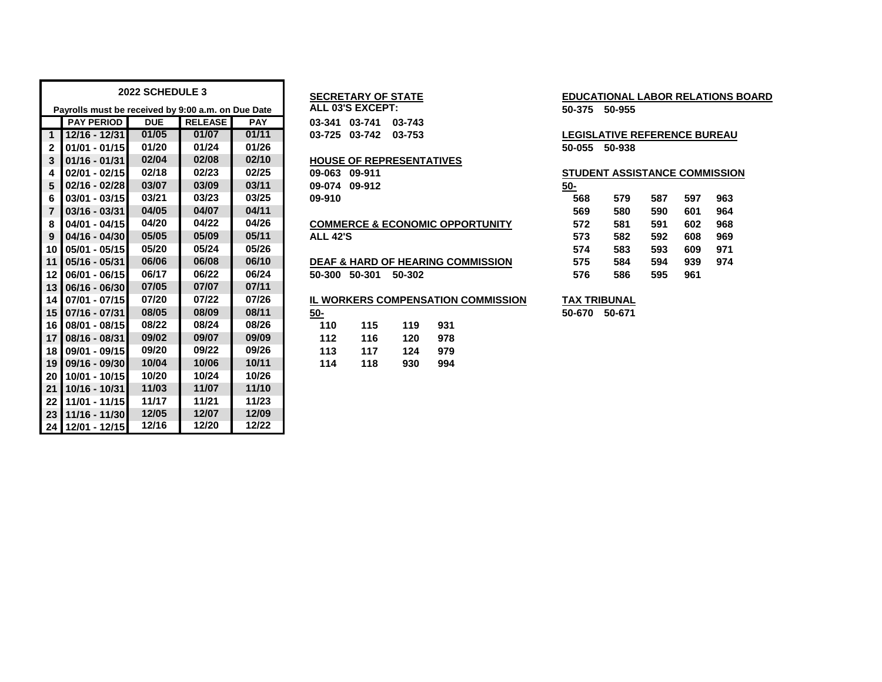|                 |                                                    | 2022 SCHEDULE 3 |                |            |                 | <b>SECRETARY OF STATE</b>       |     |                                              |            | <b>EDUCATIONAL LABOR RELATIONS</b>   |     |     |     |
|-----------------|----------------------------------------------------|-----------------|----------------|------------|-----------------|---------------------------------|-----|----------------------------------------------|------------|--------------------------------------|-----|-----|-----|
|                 | Payrolls must be received by 9:00 a.m. on Due Date |                 |                |            |                 | ALL 03'S EXCEPT:                |     |                                              |            | 50-375 50-955                        |     |     |     |
|                 | <b>PAY PERIOD</b>                                  | <b>DUE</b>      | <b>RELEASE</b> | <b>PAY</b> |                 | 03-341 03-741 03-743            |     |                                              |            |                                      |     |     |     |
| $\overline{1}$  | $12/16 - 12/31$                                    | 01/05           | 01/07          | 01/11      |                 | 03-725 03-742 03-753            |     |                                              |            | <b>LEGISLATIVE REFERENCE BUREAL</b>  |     |     |     |
| $\overline{2}$  | $01/01 - 01/15$                                    | 01/20           | 01/24          | 01/26      |                 |                                 |     |                                              |            | 50-055 50-938                        |     |     |     |
| 3               | $01/16 - 01/31$                                    | 02/04           | 02/08          | 02/10      |                 | <b>HOUSE OF REPRESENTATIVES</b> |     |                                              |            |                                      |     |     |     |
| 4               | $02/01 - 02/15$                                    | 02/18           | 02/23          | 02/25      |                 | 09-063 09-911                   |     |                                              |            | <b>STUDENT ASSISTANCE COMMISSION</b> |     |     |     |
| 5               | 02/16 - 02/28                                      | 03/07           | 03/09          | 03/11      |                 | 09-074 09-912                   |     |                                              | <u>50-</u> |                                      |     |     |     |
| 6               | $03/01 - 03/15$                                    | 03/21           | 03/23          | 03/25      | 09-910          |                                 |     |                                              | 568        | 579                                  | 587 | 597 | 963 |
| $\overline{7}$  | $03/16 - 03/31$                                    | 04/05           | 04/07          | 04/11      |                 |                                 |     |                                              | 569        | 580                                  | 590 | 601 | 964 |
| 8               | 04/01 - 04/15                                      | 04/20           | 04/22          | 04/26      |                 |                                 |     | <b>COMMERCE &amp; ECONOMIC OPPORTUNITY</b>   | 572        | 581                                  | 591 | 602 | 968 |
| 9               | $04/16 - 04/30$                                    | 05/05           | 05/09          | 05/11      | <b>ALL 42'S</b> |                                 |     |                                              | 573        | 582                                  | 592 | 608 | 969 |
| 10 <sup>1</sup> | 05/01 - 05/15                                      | 05/20           | 05/24          | 05/26      |                 |                                 |     |                                              | 574        | 583                                  | 593 | 609 | 971 |
| 11              | 05/16 - 05/31                                      | 06/06           | 06/08          | 06/10      |                 |                                 |     | <b>DEAF &amp; HARD OF HEARING COMMISSION</b> | 575        | 584                                  | 594 | 939 | 974 |
| 12 <sup>1</sup> | 06/01 - 06/15                                      | 06/17           | 06/22          | 06/24      |                 | 50-300 50-301 50-302            |     |                                              | 576        | 586                                  | 595 | 961 |     |
| 13              | 06/16 - 06/30                                      | 07/05           | 07/07          | 07/11      |                 |                                 |     |                                              |            |                                      |     |     |     |
| 14 <sup>1</sup> | 07/01 - 07/15                                      | 07/20           | 07/22          | 07/26      |                 |                                 |     | IL WORKERS COMPENSATION COMMISSION           |            | <b>TAX TRIBUNAL</b>                  |     |     |     |
|                 | 15 07/16 - 07/31                                   | 08/05           | 08/09          | 08/11      | <u>50-</u>      |                                 |     |                                              |            | 50-670 50-671                        |     |     |     |
| 16 <sup>1</sup> | 08/01 - 08/15                                      | 08/22           | 08/24          | 08/26      | 110             | 115                             | 119 | 931                                          |            |                                      |     |     |     |
| 17 <sup>1</sup> | 08/16 - 08/31                                      | 09/02           | 09/07          | 09/09      | 112             | 116                             | 120 | 978                                          |            |                                      |     |     |     |
| 18 <sup>1</sup> | 09/01 - 09/15                                      | 09/20           | 09/22          | 09/26      | 113             | 117                             | 124 | 979                                          |            |                                      |     |     |     |
| 19              | 09/16 - 09/30                                      | 10/04           | 10/06          | 10/11      | 114             | 118                             | 930 | 994                                          |            |                                      |     |     |     |
| 20 <sub>1</sub> | 10/01 - 10/15                                      | 10/20           | 10/24          | 10/26      |                 |                                 |     |                                              |            |                                      |     |     |     |
| 21              | 10/16 - 10/31                                      | 11/03           | 11/07          | 11/10      |                 |                                 |     |                                              |            |                                      |     |     |     |
| 22              | 11/01 - 11/15                                      | 11/17           | 11/21          | 11/23      |                 |                                 |     |                                              |            |                                      |     |     |     |
| 23              | 11/16 - 11/30                                      | 12/05           | 12/07          | 12/09      |                 |                                 |     |                                              |            |                                      |     |     |     |
|                 | 24 12/01 - 12/15                                   | 12/16           | 12/20          | 12/22      |                 |                                 |     |                                              |            |                                      |     |     |     |

### **01/16 - 01/31 02/04 02/08 02/10 HOUSE OF REPRESENTATIVES**

# **04/01 - 04/15 04/20 04/22 04/26 COMMERCE & ECONOMIC OPPORTUNITY 572 581 591 602 968**

|                     | <b>)EAF &amp; HARD OF HEARING COMMISSION</b> |
|---------------------|----------------------------------------------|
| 0-300 50-301 50-302 |                                              |

|            |      |     | <b>IL WORKERS COMPENSATION COMMISSION</b> |  |
|------------|------|-----|-------------------------------------------|--|
| <u>50-</u> |      |     |                                           |  |
| 110        | 115  | 119 | 931                                       |  |
| 112        | 116  | 120 | 978                                       |  |
| 113        | 117  | 124 | 979                                       |  |
| 11A        | 11 R | ดวก | QQ 1                                      |  |

# **2022 SECRETARY OF STATE 1022 SECRETARY OF STATE**

#### **12/16 - 12/31 01/05 01/07 01/11 03-725 03-742 03-753 LEGISLATIVE REFERENCE BUREAU 01/01 - 01/15 01/20 01/24 01/26 50-055 50-938**

| 09-063<br>09-911                             | <b>STUDENT ASSISTANCE COMMISSION</b> |     |     |     |     |
|----------------------------------------------|--------------------------------------|-----|-----|-----|-----|
| 09-074<br>09-912                             | 50-                                  |     |     |     |     |
| 09-910                                       | 568                                  | 579 | 587 | 597 | 963 |
|                                              | 569                                  | 580 | 590 | 601 | 964 |
| <b>COMMERCE &amp; ECONOMIC OPPORTUNITY</b>   | 572                                  | 581 | 591 | 602 | 968 |
| <b>ALL 42'S</b>                              | 573                                  | 582 | 592 | 608 | 969 |
|                                              | 574                                  | 583 | 593 | 609 | 971 |
| <b>DEAF &amp; HARD OF HEARING COMMISSION</b> | 575                                  | 584 | 594 | 939 | 974 |
| 50-301<br>50-300<br>50-302                   | 576                                  | 586 | 595 | 961 |     |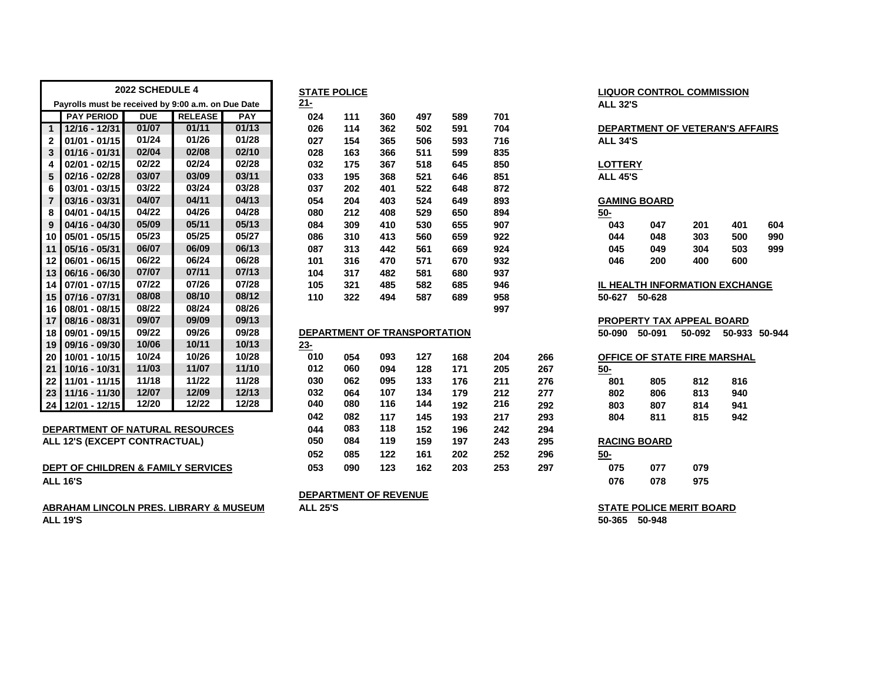|                         |                                                    | 2022 SCHEDULE 4 |                |            |            | <b>STATE POLICE</b>          |      |                 |        |      |            |                 |                     | <b>LIQUOR CONTROL COMMISSION</b>       |               |     |
|-------------------------|----------------------------------------------------|-----------------|----------------|------------|------------|------------------------------|------|-----------------|--------|------|------------|-----------------|---------------------|----------------------------------------|---------------|-----|
|                         | Payrolls must be received by 9:00 a.m. on Due Date |                 |                |            | $21 -$     |                              |      |                 |        |      |            | <b>ALL 32'S</b> |                     |                                        |               |     |
|                         | <b>PAY PERIOD</b>                                  | <b>DUE</b>      | <b>RELEASE</b> | <b>PAY</b> | 024        | 111                          | 360  | 497             | 589    | 701  |            |                 |                     |                                        |               |     |
| $\mathbf{1}$            | 12/16 - 12/31                                      | 01/07           | 01/11          | 01/13      | 026        | 114                          | 362  | 502             | 591    | 704  |            |                 |                     | <b>DEPARTMENT OF VETERAN'S AFFAIRS</b> |               |     |
| $\mathbf{2}$            | $01/01 - 01/15$                                    | 01/24           | 01/26          | 01/28      | 027        | 154                          | 365  | 506             | 593    | 716  |            | <b>ALL 34'S</b> |                     |                                        |               |     |
| 3                       | $01/16 - 01/31$                                    | 02/04           | 02/08          | 02/10      | 028        | 163                          | 366  | 511             | 599    | 835  |            |                 |                     |                                        |               |     |
| 4                       | 02/01 - 02/15                                      | 02/22           | 02/24          | 02/28      | 032        | 175                          | 367  | 518             | 645    | 850  |            | <b>LOTTERY</b>  |                     |                                        |               |     |
| 5                       | 02/16 - 02/28                                      | 03/07           | 03/09          | 03/11      | 033        | 195                          | 368  | 521             | 646    | 851  |            | <b>ALL 45'S</b> |                     |                                        |               |     |
| 6                       | 03/01 - 03/15                                      | 03/22           | 03/24          | 03/28      | 037        | 202                          | 401  | 522             | 648    | 872  |            |                 |                     |                                        |               |     |
| $\overline{\mathbf{r}}$ | 03/16 - 03/31                                      | 04/07           | 04/11          | 04/13      | 054        | 204                          | 403  | 524             | 649    | 893  |            |                 | <b>GAMING BOARD</b> |                                        |               |     |
| 8                       | 04/01 - 04/15                                      | 04/22           | 04/26          | 04/28      | 080        | 212                          | 408  | 529             | 650    | 894  |            | <u>50-</u>      |                     |                                        |               |     |
| 9                       | 04/16 - 04/30                                      | 05/09           | 05/11          | 05/13      | 084        | 309                          | 410  | 530             | 655    | 907  |            | 043             | 047                 | 201                                    | 401           | 604 |
| 10                      | 05/01 - 05/15                                      | 05/23           | 05/25          | 05/27      | 086        | 310                          | 413  | 560             | 659    | 922  |            | 044             | 048                 | 303                                    | 500           | 990 |
| 11                      | $05/16 - 05/31$                                    | 06/07           | 06/09          | 06/13      | 087        | 313                          | 442  | 561             | 669    | 924  |            | 045             | 049                 | 304                                    | 503           | 999 |
| 12                      | 06/01 - 06/15                                      | 06/22           | 06/24          | 06/28      | 101        | 316                          | 470  | 571             | 670    | 932  |            | 046             | 200                 | 400                                    | 600           |     |
| 13                      | $06/16 - 06/30$                                    | 07/07           | 07/11          | 07/13      | 104        | 317                          | 482  | 581             | 680    | 937  |            |                 |                     |                                        |               |     |
| 14                      | $07/01 - 07/15$                                    | 07/22           | 07/26          | 07/28      | 105        | 321                          | 485  | 582             | 685    | 946  |            |                 |                     | IL HEALTH INFORMATION EXCHANGE         |               |     |
| 15                      | 07/16 - 07/31                                      | 08/08           | 08/10          | 08/12      | 110        | 322                          | 494  | 587             | 689    | 958  |            | 50-627          | 50-628              |                                        |               |     |
| 16                      | 08/01 - 08/15                                      | 08/22           | 08/24          | 08/26      |            |                              |      |                 |        | 997  |            |                 |                     |                                        |               |     |
| 17                      | 08/16 - 08/31                                      | 09/07           | 09/09          | 09/13      |            |                              |      |                 |        |      |            |                 |                     | <b>PROPERTY TAX APPEAL BOARD</b>       |               |     |
| 18                      | 09/01 - 09/15                                      | 09/22           | 09/26          | 09/28      |            | DEPARTMENT OF TRANSPORTATION |      |                 |        |      |            | 50-090          | 50-091              | 50-092                                 | 50-933 50-944 |     |
| 19                      | 09/16 - 09/30                                      | 10/06           | 10/11          | 10/13      | $23 -$     |                              |      |                 |        |      |            |                 |                     |                                        |               |     |
| 20                      | 10/01 - 10/15                                      | 10/24           | 10/26          | 10/28      | 010        | 054                          | 093  | 127             | 168    | 204  | 266        |                 |                     | OFFICE OF STATE FIRE MARSHAL           |               |     |
| 21                      | 10/16 - 10/31                                      | 11/03           | 11/07          | 11/10      | 012        | 060                          | 094  | 128             | 171    | 205  | 267        | <u>50-</u>      |                     |                                        |               |     |
| 22                      | 11/01 - 11/15                                      | 11/18           | 11/22          | 11/28      | 030        | 062                          | 095  | 133             | 176    | 211  | 276        | 801             | 805                 | 812                                    | 816           |     |
|                         | 23 11/16 - 11/30                                   | 12/07           | 12/09          | 12/13      | 032        | 064                          | 107  | 134             | 179    | 212  | 277        | 802             | 806                 | 813                                    | 940           |     |
|                         | 24 12/01 - 12/15                                   | 12/20           | 12/22          | 12/28      | 040        | 080                          | 116  | 144             | 192    | 216  | 292        | 803             | 807                 | 814                                    | 941           |     |
|                         |                                                    |                 |                |            | 042        | 082                          | 117  | 145             | 193    | 217  | 293        | 804             | 811                 | 815                                    | 942           |     |
|                         | <b>DEPARTMENT OF NATURAL RESOURCES</b>             |                 |                |            | 044        | 083                          | 118  | 152             | 196    | 242  | 294        |                 |                     |                                        |               |     |
|                         | ALL AND IEVOEDE CONTRACTUALL                       |                 |                |            | <b>AEA</b> | 00 A                         | 44 O | 10 <sub>0</sub> | $\sim$ | 0.40 | <b>OOF</b> |                 | <b>DAOING DOADD</b> |                                        |               |     |

|  | ALL IZ 3 (EAGEFT CONTRAGTOAL) |  |
|--|-------------------------------|--|
|  |                               |  |
|  |                               |  |

| <b>DEPT OF CHILDREN &amp; FAMILY SERVICES</b> | 053 | 090 | 123 | 162 | 203 | 253 | 297 | 075 | 077 | 079 |
|-----------------------------------------------|-----|-----|-----|-----|-----|-----|-----|-----|-----|-----|
| <b>ALL 16'S</b>                               |     |     |     |     |     |     |     | 076 | 078 | 975 |

| ABRAHAM LINCOLN PRES. LIBRARY & MUSEUM | <b>ALL 25'S</b> | <b>STATE POLICE MERIT BOARD</b> |
|----------------------------------------|-----------------|---------------------------------|
| <b>ALL 19'S</b>                        |                 | 50-948<br>50-365                |

|                |                                                    | 2022 SCHEDULE 4 |                |            |            | <b>STATE POLICE</b>          |     |     |     |     |     |                 |                     | <b>LIQUOR CONTROL COMMISSION</b> |                                 |     |
|----------------|----------------------------------------------------|-----------------|----------------|------------|------------|------------------------------|-----|-----|-----|-----|-----|-----------------|---------------------|----------------------------------|---------------------------------|-----|
|                | Payrolls must be received by 9:00 a.m. on Due Date |                 |                |            | $21 -$     |                              |     |     |     |     |     | <b>ALL 32'S</b> |                     |                                  |                                 |     |
|                | <b>PAY PERIOD</b>                                  | <b>DUE</b>      | <b>RELEASE</b> | <b>PAY</b> | 024        | 111                          | 360 | 497 | 589 | 701 |     |                 |                     |                                  |                                 |     |
| $\mathbf{1}$   | 12/16 - 12/31                                      | 01/07           | 01/11          | 01/13      | 026        | 114                          | 362 | 502 | 591 | 704 |     |                 |                     |                                  | DEPARTMENT OF VETERAN'S AFFAIRS |     |
| $\mathbf{2}$   | $01/01 - 01/15$                                    | 01/24           | 01/26          | 01/28      | 027        | 154                          | 365 | 506 | 593 | 716 |     | <b>ALL 34'S</b> |                     |                                  |                                 |     |
| 3              | $01/16 - 01/31$                                    | 02/04           | 02/08          | 02/10      | 028        | 163                          | 366 | 511 | 599 | 835 |     |                 |                     |                                  |                                 |     |
| 4              | $02/01 - 02/15$                                    | 02/22           | 02/24          | 02/28      | 032        | 175                          | 367 | 518 | 645 | 850 |     | <b>LOTTERY</b>  |                     |                                  |                                 |     |
| 5              | $02/16 - 02/28$                                    | 03/07           | 03/09          | 03/11      | 033        | 195                          | 368 | 521 | 646 | 851 |     | <b>ALL 45'S</b> |                     |                                  |                                 |     |
| 6              | $03/01 - 03/15$                                    | 03/22           | 03/24          | 03/28      | 037        | 202                          | 401 | 522 | 648 | 872 |     |                 |                     |                                  |                                 |     |
| $\overline{7}$ | 03/16 - 03/31                                      | 04/07           | 04/11          | 04/13      | 054        | 204                          | 403 | 524 | 649 | 893 |     |                 | <b>GAMING BOARD</b> |                                  |                                 |     |
| 8              | $04/01 - 04/15$                                    | 04/22           | 04/26          | 04/28      | 080        | 212                          | 408 | 529 | 650 | 894 |     | <u>50-</u>      |                     |                                  |                                 |     |
| 9              | $04/16 - 04/30$                                    | 05/09           | 05/11          | 05/13      | 084        | 309                          | 410 | 530 | 655 | 907 |     | 043             | 047                 | 201                              | 401                             | 604 |
| 10             | $05/01 - 05/15$                                    | 05/23           | 05/25          | 05/27      | 086        | 310                          | 413 | 560 | 659 | 922 |     | 044             | 048                 | 303                              | 500                             | 990 |
| 11             | 05/16 - 05/31                                      | 06/07           | 06/09          | 06/13      | 087        | 313                          | 442 | 561 | 669 | 924 |     | 045             | 049                 | 304                              | 503                             | 999 |
| 12             | $06/01 - 06/15$                                    | 06/22           | 06/24          | 06/28      | 101        | 316                          | 470 | 571 | 670 | 932 |     | 046             | 200                 | 400                              | 600                             |     |
| 13             | $06/16 - 06/30$                                    | 07/07           | 07/11          | 07/13      | 104        | 317                          | 482 | 581 | 680 | 937 |     |                 |                     |                                  |                                 |     |
| 14             | $07/01 - 07/15$                                    | 07/22           | 07/26          | 07/28      | 105        | 321                          | 485 | 582 | 685 | 946 |     |                 |                     |                                  | IL HEALTH INFORMATION EXCHANGE  |     |
| 15             | 07/16 - 07/31                                      | 08/08           | 08/10          | 08/12      | 110        | 322                          | 494 | 587 | 689 | 958 |     | 50-627          | 50-628              |                                  |                                 |     |
| 16             | 08/01 - 08/15                                      | 08/22           | 08/24          | 08/26      |            |                              |     |     |     | 997 |     |                 |                     |                                  |                                 |     |
| 17             | 08/16 - 08/31                                      | 09/07           | 09/09          | 09/13      |            |                              |     |     |     |     |     |                 |                     | <b>PROPERTY TAX APPEAL BOARD</b> |                                 |     |
| 18             | 09/01 - 09/15                                      | 09/22           | 09/26          | 09/28      |            | DEPARTMENT OF TRANSPORTATION |     |     |     |     |     | 50-090          | 50-091              | 50-092                           | 50-933 50-94                    |     |
| 19             | 09/16 - 09/30                                      | 10/06           | 10/11          | 10/13      | <u>23-</u> |                              |     |     |     |     |     |                 |                     |                                  |                                 |     |
| 20             | 10/01 - 10/15                                      | 10/24           | 10/26          | 10/28      | 010        | 054                          | 093 | 127 | 168 | 204 | 266 |                 |                     |                                  | OFFICE OF STATE FIRE MARSHAL    |     |
| 21             | 10/16 - 10/31                                      | 11/03           | 11/07          | 11/10      | 012        | 060                          | 094 | 128 | 171 | 205 | 267 | <u>50-</u>      |                     |                                  |                                 |     |
| 22             | 11/01 - 11/15                                      | 11/18           | 11/22          | 11/28      | 030        | 062                          | 095 | 133 | 176 | 211 | 276 | 801             | 805                 | 812                              | 816                             |     |
| 23             | 11/16 - 11/30                                      | 12/07           | 12/09          | 12/13      | 032        | 064                          | 107 | 134 | 179 | 212 | 277 | 802             | 806                 | 813                              | 940                             |     |
| 24             | 12/01 - 12/15                                      | 12/20           | 12/22          | 12/28      | 040        | 080                          | 116 | 144 | 192 | 216 | 292 | 803             | 807                 | 814                              | 941                             |     |
|                |                                                    |                 |                |            | 042        | 082                          | 117 | 145 | 193 | 217 | 293 | 804             | 811                 | 815                              | 942                             |     |
|                | <b>DEPARTMENT OF NATURAL RESOURCES</b>             |                 |                |            | 044        | 083                          | 118 | 152 | 196 | 242 | 294 |                 |                     |                                  |                                 |     |
|                | <b>ALL 12'S (EXCEPT CONTRACTUAL)</b>               |                 |                |            | 050        | 084                          | 119 | 159 | 197 | 243 | 295 |                 | <b>RACING BOARD</b> |                                  |                                 |     |
|                |                                                    |                 |                |            | 052        | 085                          | 122 | 161 | 202 | 252 | 296 | $50-$           |                     |                                  |                                 |     |
|                | <b>DEPT OF CHILDREN &amp; FAMILY SERVICES</b>      |                 |                |            | 053        | 090                          | 123 | 162 | 203 | 253 | 297 | 075             | 077                 | 079                              |                                 |     |

### **DEPARTMENT OF REVENUE**

| <b>ALL 32'S</b>            |               |                                      |     |     |
|----------------------------|---------------|--------------------------------------|-----|-----|
| <b>ALL 34'S</b>            |               | DEPARTMENT OF VETERAN'S AFFAIRS      |     |     |
| LOTTERY<br><b>ALL 45'S</b> |               |                                      |     |     |
| 50-                        | GAMING BOARD  |                                      |     |     |
| 043                        | 047           | 201                                  | 401 | 604 |
| 044                        | 048           | 303                                  | 500 | 990 |
| 045                        | 049           | 304                                  | 503 | 999 |
| 046                        | 200           | 400                                  | 600 |     |
|                            |               | <b>L HEALTH INFORMATION EXCHANGE</b> |     |     |
|                            | 50-627 50-628 |                                      |     |     |
|                            |               | <u>PROPERTY TAX APPEAL BOARD</u>     |     |     |
|                            |               | 50-090 50-091 50-092 50-933 50-944   |     |     |
| 50-                        |               | <b>OFFICE OF STATE FIRE MARSHAL</b>  |     |     |
| 801 — 100                  | 805           | 812                                  | 816 |     |
| 802                        | 806           | 813                                  | 940 |     |
| 803                        | 807           | 814                                  | 941 |     |
| 804                        | 811           | 815                                  | 942 |     |
|                            |               |                                      |     |     |

| KACING BOARD |     |    |
|--------------|-----|----|
| <u>i0-</u>   |     |    |
| 075          | 077 | 07 |
|              |     |    |

| <b>STATE POLICE MERIT BOARD</b> |  |
|---------------------------------|--|
| 50-365 50-948                   |  |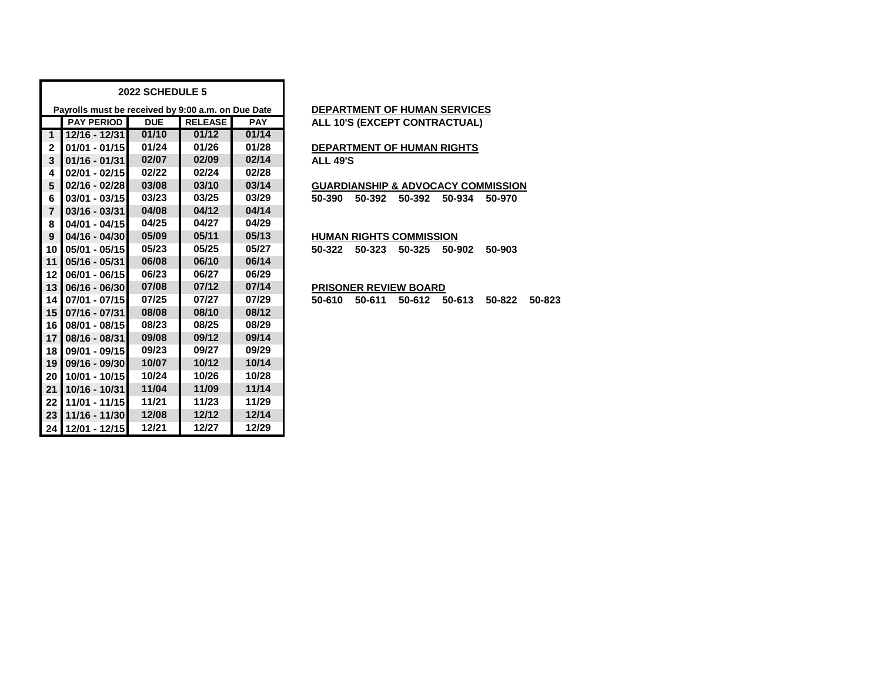|                |                                                    | 2022 SCHEDULE 5 |                |            |
|----------------|----------------------------------------------------|-----------------|----------------|------------|
|                | Payrolls must be received by 9:00 a.m. on Due Date |                 |                |            |
|                | <b>PAY PERIOD</b>                                  | <b>DUE</b>      | <b>RELEASE</b> | <b>PAY</b> |
| $\mathbf{1}$   | 12/16 - 12/31                                      | 01/10           | 01/12          | 01/14      |
| $\mathbf{2}$   | $01/01 - 01/15$                                    | 01/24           | 01/26          | 01/28      |
| 3              | $01/16 - 01/31$                                    | 02/07           | 02/09          | 02/14      |
| 4              | $02/01 - 02/15$                                    | 02/22           | 02/24          | 02/28      |
| 5              | $02/16 - 02/28$                                    | 03/08           | 03/10          | 03/14      |
| 6              | $03/01 - 03/15$                                    | 03/23           | 03/25          | 03/29      |
| $\overline{7}$ | $03/16 - 03/31$                                    | 04/08           | 04/12          | 04/14      |
| 8              | $04/01 - 04/15$                                    | 04/25           | 04/27          | 04/29      |
| 9              | $04/16 - 04/30$                                    | 05/09           | 05/11          | 05/13      |
| 10             | $05/01 - 05/15$                                    | 05/23           | 05/25          | 05/27      |
| 11             | 05/16 - 05/31                                      | 06/08           | 06/10          | 06/14      |
| 12             | $06/01 - 06/15$                                    | 06/23           | 06/27          | 06/29      |
| 13             | $06/16 - 06/30$                                    | 07/08           | 07/12          | 07/14      |
| 14             | 07/01 - 07/15                                      | 07/25           | 07/27          | 07/29      |
| 15             | 07/16 - 07/31                                      | 08/08           | 08/10          | 08/12      |
| 16             | 08/01 - 08/15                                      | 08/23           | 08/25          | 08/29      |
| 17             | 08/16 - 08/31                                      | 09/08           | 09/12          | 09/14      |
| 18             | 09/01 - 09/15                                      | 09/23           | 09/27          | 09/29      |
| 19             | $09/16 - 09/30$                                    | 10/07           | 10/12          | 10/14      |
| 20             | 10/01 - 10/15                                      | 10/24           | 10/26          | 10/28      |
| 21             | 10/16 - 10/31                                      | 11/04           | 11/09          | 11/14      |
| 22             | 11/01 - 11/15                                      | 11/21           | 11/23          | 11/29      |
| 23             | 11/16 - 11/30                                      | 12/08           | 12/12          | 12/14      |
| 24             | 12/01 - 12/15                                      | 12/21           | 12/27          | 12/29      |

## **PEPARTMENT OF HUMAN SERVICES**

**ALL 10'S (EXCEPT CONTRACTUAL)** 

#### **01/01 - 01/15 01/24 01/26 01/28 DEPARTMENT OF HUMAN RIGHTS 01/16 - 01/31 02/07 02/09 02/14 ALL 49'S**

 **02/16 - 02/28 03/08 03/10 03/14 GUARDIANSHIP & ADVOCACY COMMISSION 03/01 - 03/15 03/23 03/25 03/29 50-390 50-392 50-392 50-934 50-970**

#### **04/16 - 04/30 05/09 05/11 05/13 HUMAN RIGHTS COMMISSION**

**05/01 - 05/15 05/23 05/25 05/27 50-322 50-323 50-325 50-902 50-903**

### **06/16 - 06/30 07/08 07/12 07/14 PRISONER REVIEW BOARD**

**07/01 - 07/15 07/25 07/27 07/29 50-610 50-611 50-612 50-613 50-822 50-823**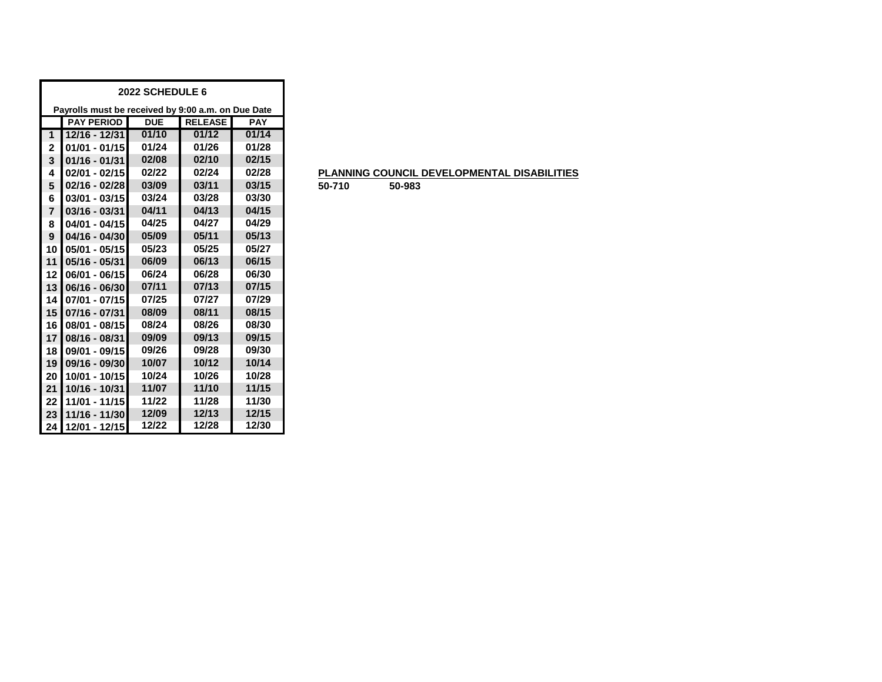|                |                                                    | 2022 SCHEDULE 6 |                |            |
|----------------|----------------------------------------------------|-----------------|----------------|------------|
|                | Payrolls must be received by 9:00 a.m. on Due Date |                 |                |            |
|                | <b>PAY PERIOD</b>                                  | <b>DUE</b>      | <b>RELEASE</b> | <b>PAY</b> |
| $\mathbf{1}$   | 12/16 - 12/31                                      | 01/10           | 01/12          | 01/14      |
| 2              | $01/01 - 01/15$                                    | 01/24           | 01/26          | 01/28      |
| 3              | $01/16 - 01/31$                                    | 02/08           | 02/10          | 02/15      |
| 4              | 02/01 - 02/15                                      | 02/22           | 02/24          | 02/28      |
| 5              | $02/16 - 02/28$                                    | 03/09           | 03/11          | 03/15      |
| 6              | $03/01 - 03/15$                                    | 03/24           | 03/28          | 03/30      |
| $\overline{7}$ | $03/16 - 03/31$                                    | 04/11           | 04/13          | 04/15      |
| 8              | 04/01 - 04/15                                      | 04/25           | 04/27          | 04/29      |
| 9              | $04/16 - 04/30$                                    | 05/09           | 05/11          | 05/13      |
| 10             | $05/01 - 05/15$                                    | 05/23           | 05/25          | 05/27      |
| 11             | $05/16 - 05/31$                                    | 06/09           | 06/13          | 06/15      |
| 12             | 06/01 - 06/15                                      | 06/24           | 06/28          | 06/30      |
| 13             | 06/16 - 06/30                                      | 07/11           | 07/13          | 07/15      |
| 14             | 07/01 - 07/15                                      | 07/25           | 07/27          | 07/29      |
| 15             | 07/16 - 07/31                                      | 08/09           | 08/11          | 08/15      |
| 16             | 08/01 - 08/15                                      | 08/24           | 08/26          | 08/30      |
| 17             | 08/16 - 08/31                                      | 09/09           | 09/13          | 09/15      |
| 18             | 09/01 - 09/15                                      | 09/26           | 09/28          | 09/30      |
| 19             | 09/16 - 09/30                                      | 10/07           | 10/12          | 10/14      |
| 20             | 10/01 - 10/15                                      | 10/24           | 10/26          | 10/28      |
| 21             | 10/16 - 10/31                                      | 11/07           | 11/10          | 11/15      |
| 22             | 11/01 - 11/15                                      | 11/22           | 11/28          | 11/30      |
| 23             | 11/16 - 11/30                                      | 12/09           | 12/13          | 12/15      |
|                | 24   12/01 - 12/15                                 | 12/22           | 12/28          | 12/30      |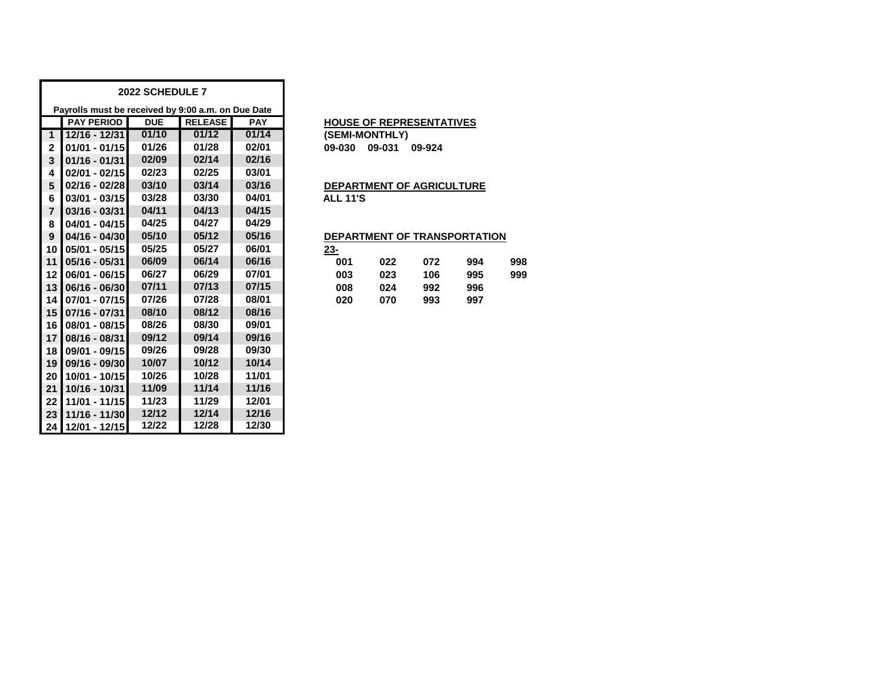|                 |                                                    | 2022 SCHEDULE 7 |                |            |                                  |  |  |  |  |
|-----------------|----------------------------------------------------|-----------------|----------------|------------|----------------------------------|--|--|--|--|
|                 | Payrolls must be received by 9:00 a.m. on Due Date |                 |                |            |                                  |  |  |  |  |
|                 | <b>PAY PERIOD</b>                                  | <b>DUE</b>      | <b>RELEASE</b> | <b>PAY</b> | <b>HOUSE OF REPRESENTATIVES</b>  |  |  |  |  |
| $\mathbf 1$     | 12/16 - 12/31                                      | 01/10           | 01/12          | 01/14      | (SEMI-MONTHLY)                   |  |  |  |  |
| $\mathbf{2}$    | $01/01 - 01/15$                                    | 01/26           | 01/28          | 02/01      | 09-031<br>09-030<br>09-924       |  |  |  |  |
| 3               | $01/16 - 01/31$                                    | 02/09           | 02/14          | 02/16      |                                  |  |  |  |  |
| 4               | 02/01 - 02/15                                      | 02/23           | 02/25          | 03/01      |                                  |  |  |  |  |
| 5               | 02/16 - 02/28                                      | 03/10           | 03/14          | 03/16      | <b>DEPARTMENT OF AGRICULTURE</b> |  |  |  |  |
| 6               | $03/01 - 03/15$                                    | 03/28           | 03/30          | 04/01      | <b>ALL 11'S</b>                  |  |  |  |  |
| $\overline{7}$  | $03/16 - 03/31$                                    | 04/11           | 04/13          | 04/15      |                                  |  |  |  |  |
| 8               | $04/01 - 04/15$                                    | 04/25           | 04/27          | 04/29      |                                  |  |  |  |  |
| 9               | 04/16 - 04/30                                      | 05/10           | 05/12          | 05/16      | DEPARTMENT OF TRANSPORTATION     |  |  |  |  |
| 10              | $05/01 - 05/15$                                    | 05/25           | 05/27          | 06/01      | $23 -$                           |  |  |  |  |
| 11              | $05/16 - 05/31$                                    | 06/09           | 06/14          | 06/16      | 001<br>022<br>072<br>998<br>994  |  |  |  |  |
| 12              | 06/01 - 06/15                                      | 06/27           | 06/29          | 07/01      | 003<br>023<br>106<br>999<br>995  |  |  |  |  |
| 13              | 06/16 - 06/30                                      | 07/11           | 07/13          | 07/15      | 008<br>024<br>992<br>996         |  |  |  |  |
| 14              | 07/01 - 07/15                                      | 07/26           | 07/28          | 08/01      | 020<br>070<br>993<br>997         |  |  |  |  |
| 15              | $07/16 - 07/31$                                    | 08/10           | 08/12          | 08/16      |                                  |  |  |  |  |
| 16              | 08/01 - 08/15                                      | 08/26           | 08/30          | 09/01      |                                  |  |  |  |  |
| 17              | 08/16 - 08/31                                      | 09/12           | 09/14          | 09/16      |                                  |  |  |  |  |
| 18              | 09/01 - 09/15                                      | 09/26           | 09/28          | 09/30      |                                  |  |  |  |  |
| 19              | 09/16 - 09/30                                      | 10/07           | 10/12          | 10/14      |                                  |  |  |  |  |
| 20              | 10/01 - 10/15                                      | 10/26           | 10/28          | 11/01      |                                  |  |  |  |  |
| 21              | 10/16 - 10/31                                      | 11/09           | 11/14          | 11/16      |                                  |  |  |  |  |
| 22              | 11/01 - 11/15                                      | 11/23           | 11/29          | 12/01      |                                  |  |  |  |  |
| 23              | 11/16 - 11/30                                      | 12/12           | 12/14          | 12/16      |                                  |  |  |  |  |
| 24 <sub>1</sub> | 12/01 - 12/15                                      | 12/22           | 12/28          | 12/30      |                                  |  |  |  |  |

### **HOUSE OF REPRESENTATIVES**

### **04/16 - 04/30 05/10 05/12 05/16 DEPARTMENT OF TRANSPORTATION**

| <u>23-</u> |     |     |     |     |
|------------|-----|-----|-----|-----|
| 001        | 022 | 072 | 994 | 998 |
| 003        | 023 | 106 | 995 | 999 |
| 008        | 024 | 992 | 996 |     |
| 020        | 070 | 993 | 997 |     |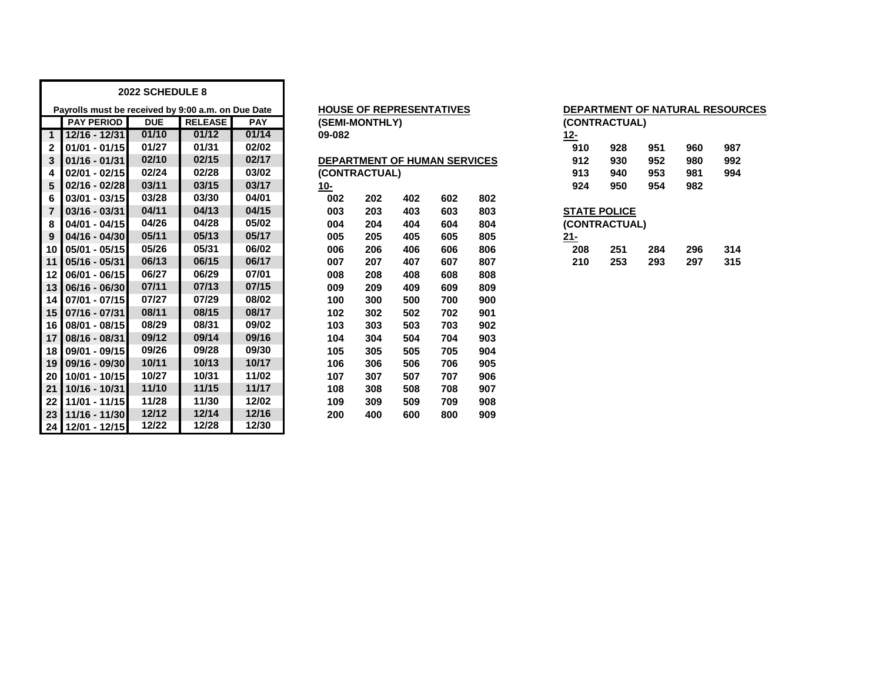|                         | 2022 SCHEDULE 8                                    |            |                |            |            |                                 |     |     |     |            |                                     |     |     |     |  |
|-------------------------|----------------------------------------------------|------------|----------------|------------|------------|---------------------------------|-----|-----|-----|------------|-------------------------------------|-----|-----|-----|--|
|                         | Payrolls must be received by 9:00 a.m. on Due Date |            |                |            |            | <b>HOUSE OF REPRESENTATIVES</b> |     |     |     |            | <b>DEPARTMENT OF NATURAL RESOUL</b> |     |     |     |  |
|                         | <b>PAY PERIOD</b>                                  | <b>DUE</b> | <b>RELEASE</b> | <b>PAY</b> |            | (SEMI-MONTHLY)                  |     |     |     |            | (CONTRACTUAL)                       |     |     |     |  |
| $\mathbf{1}$            | $12/16 - 12/31$                                    | 01/10      | 01/12          | 01/14      | 09-082     |                                 |     |     |     | <u>12-</u> |                                     |     |     |     |  |
| $\overline{\mathbf{2}}$ | $01/01 - 01/15$                                    | 01/27      | 01/31          | 02/02      |            |                                 |     |     |     | 910        | 928                                 | 951 | 960 | 987 |  |
| 3                       | $01/16 - 01/31$                                    | 02/10      | 02/15          | 02/17      |            | DEPARTMENT OF HUMAN SERVICES    |     |     |     | 912        | 930                                 | 952 | 980 | 992 |  |
| 4                       | $02/01 - 02/15$                                    | 02/24      | 02/28          | 03/02      |            | (CONTRACTUAL)                   |     |     |     | 913        | 940                                 | 953 | 981 | 994 |  |
| 5                       | $02/16 - 02/28$                                    | 03/11      | 03/15          | 03/17      | <u>10-</u> |                                 |     |     |     | 924        | 950                                 | 954 | 982 |     |  |
| 6                       | $03/01 - 03/15$                                    | 03/28      | 03/30          | 04/01      | 002        | 202                             | 402 | 602 | 802 |            |                                     |     |     |     |  |
| $\overline{7}$          | $03/16 - 03/31$                                    | 04/11      | 04/13          | 04/15      | 003        | 203                             | 403 | 603 | 803 |            | <b>STATE POLICE</b>                 |     |     |     |  |
| 8                       | $04/01 - 04/15$                                    | 04/26      | 04/28          | 05/02      | 004        | 204                             | 404 | 604 | 804 |            | (CONTRACTUAL)                       |     |     |     |  |
| 9                       | $04/16 - 04/30$                                    | 05/11      | 05/13          | 05/17      | 005        | 205                             | 405 | 605 | 805 | $21 -$     |                                     |     |     |     |  |
| 10                      | 05/01 - 05/15                                      | 05/26      | 05/31          | 06/02      | 006        | 206                             | 406 | 606 | 806 | 208        | 251                                 | 284 | 296 | 314 |  |
| 11                      | $05/16 - 05/31$                                    | 06/13      | 06/15          | 06/17      | 007        | 207                             | 407 | 607 | 807 | 210        | 253                                 | 293 | 297 | 315 |  |
| $12 \,$                 | $06/01 - 06/15$                                    | 06/27      | 06/29          | 07/01      | 008        | 208                             | 408 | 608 | 808 |            |                                     |     |     |     |  |
| 13                      | 06/16 - 06/30                                      | 07/11      | 07/13          | 07/15      | 009        | 209                             | 409 | 609 | 809 |            |                                     |     |     |     |  |
|                         | 14 07/01 - 07/15                                   | 07/27      | 07/29          | 08/02      | 100        | 300                             | 500 | 700 | 900 |            |                                     |     |     |     |  |
|                         | 15 07/16 - 07/31                                   | 08/11      | 08/15          | 08/17      | 102        | 302                             | 502 | 702 | 901 |            |                                     |     |     |     |  |
| 16                      | 08/01 - 08/15                                      | 08/29      | 08/31          | 09/02      | 103        | 303                             | 503 | 703 | 902 |            |                                     |     |     |     |  |
| 17 <sup>1</sup>         | 08/16 - 08/31                                      | 09/12      | 09/14          | 09/16      | 104        | 304                             | 504 | 704 | 903 |            |                                     |     |     |     |  |
| 18 <sup>1</sup>         | 09/01 - 09/15                                      | 09/26      | 09/28          | 09/30      | 105        | 305                             | 505 | 705 | 904 |            |                                     |     |     |     |  |
| 19                      | 09/16 - 09/30                                      | 10/11      | 10/13          | 10/17      | 106        | 306                             | 506 | 706 | 905 |            |                                     |     |     |     |  |
| 20                      | 10/01 - 10/15                                      | 10/27      | 10/31          | 11/02      | 107        | 307                             | 507 | 707 | 906 |            |                                     |     |     |     |  |
| 21                      | 10/16 - 10/31                                      | 11/10      | 11/15          | 11/17      | 108        | 308                             | 508 | 708 | 907 |            |                                     |     |     |     |  |
| 22                      | 11/01 - 11/15                                      | 11/28      | 11/30          | 12/02      | 109        | 309                             | 509 | 709 | 908 |            |                                     |     |     |     |  |
| 23                      | 11/16 - 11/30                                      | 12/12      | 12/14          | 12/16      | 200        | 400                             | 600 | 800 | 909 |            |                                     |     |     |     |  |
|                         | 24 12/01 - 12/15                                   | 12/22      | 12/28          | 12/30      |            |                                 |     |     |     |            |                                     |     |     |     |  |

| <b>HOUSE OF REPRESENTATIVES</b>     |     |     |     |     |  |  |  |  |  |  |
|-------------------------------------|-----|-----|-----|-----|--|--|--|--|--|--|
| (SEMI-MONTHLY)                      |     |     |     |     |  |  |  |  |  |  |
| 09-082                              |     |     |     |     |  |  |  |  |  |  |
|                                     |     |     |     |     |  |  |  |  |  |  |
| <b>DEPARTMENT OF HUMAN SERVICES</b> |     |     |     |     |  |  |  |  |  |  |
| (CONTRACTUAL)                       |     |     |     |     |  |  |  |  |  |  |
| 10-                                 |     |     |     |     |  |  |  |  |  |  |
| 002                                 | 202 | 402 | 602 | 802 |  |  |  |  |  |  |
| 003                                 | 203 | 403 | 603 | 803 |  |  |  |  |  |  |
| 004                                 | 204 | 404 | 604 | 804 |  |  |  |  |  |  |
| 005                                 | 205 | 405 | 605 | 805 |  |  |  |  |  |  |
| 006                                 | 206 | 406 | 606 | 806 |  |  |  |  |  |  |
| 007                                 | 207 | 407 | 607 | 807 |  |  |  |  |  |  |
| 008                                 | 208 | 408 | 608 | 808 |  |  |  |  |  |  |
| 009                                 | 209 | 409 | 609 | 809 |  |  |  |  |  |  |
| 100                                 | 300 | 500 | 700 | 900 |  |  |  |  |  |  |
| 102                                 | 302 | 502 | 702 | 901 |  |  |  |  |  |  |
| 103                                 | 303 | 503 | 703 | 902 |  |  |  |  |  |  |
| 104                                 | 304 | 504 | 704 | 903 |  |  |  |  |  |  |
| 105                                 | 305 | 505 | 705 | 904 |  |  |  |  |  |  |
| 106                                 | 306 | 506 | 706 | 905 |  |  |  |  |  |  |
| 107                                 | 307 | 507 | 707 | 906 |  |  |  |  |  |  |
| 108                                 | 308 | 508 | 708 | 907 |  |  |  |  |  |  |
| 109                                 | 309 | 509 | 709 | 908 |  |  |  |  |  |  |
| 200                                 | 400 | 600 | 800 | 909 |  |  |  |  |  |  |

| (CONTRACTUAL)                        |     |     |     |     |  |  |  |  |  |  |
|--------------------------------------|-----|-----|-----|-----|--|--|--|--|--|--|
| 12-                                  |     |     |     |     |  |  |  |  |  |  |
| 910                                  | 928 | 951 | 960 | 987 |  |  |  |  |  |  |
| 912                                  | 930 | 952 | 980 | 992 |  |  |  |  |  |  |
| 913                                  | 940 | 953 | 981 | 994 |  |  |  |  |  |  |
| 924                                  | 950 | 954 | 982 |     |  |  |  |  |  |  |
| <b>STATE POLICE</b><br>(CONTRACTUAL) |     |     |     |     |  |  |  |  |  |  |

**PEPARTMENT OF NATURAL RESOURCES** 

| '1-   |     |       |       |     |
|-------|-----|-------|-------|-----|
| - 208 | 251 | - 284 | - 296 | 314 |
| -210  | 253 | - 293 | 297   | 315 |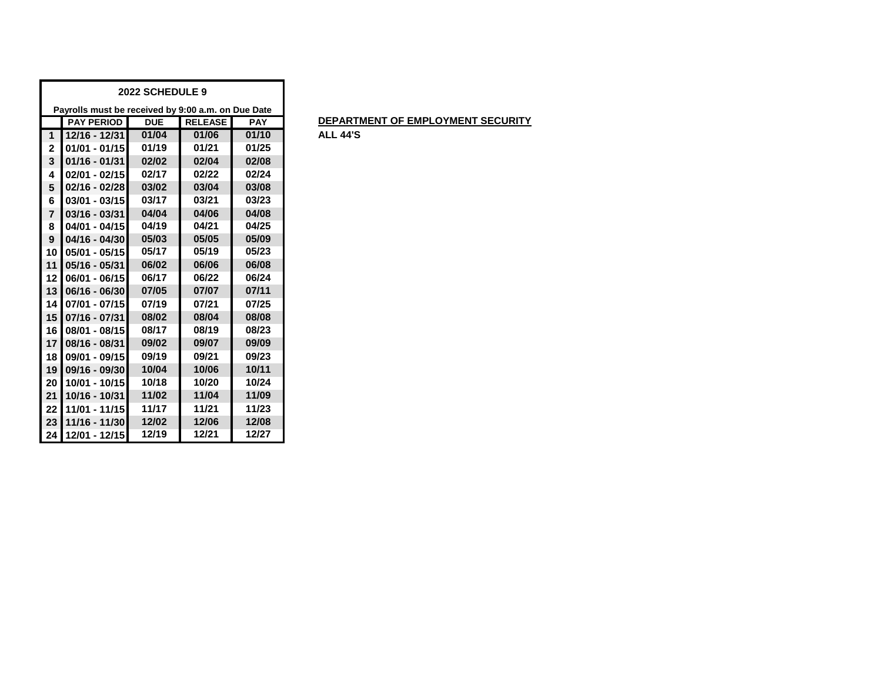|                | 2022 SCHEDULE 9                                    |            |                |            |  |  |  |  |  |  |  |
|----------------|----------------------------------------------------|------------|----------------|------------|--|--|--|--|--|--|--|
|                | Payrolls must be received by 9:00 a.m. on Due Date |            |                |            |  |  |  |  |  |  |  |
|                | <b>PAY PERIOD</b>                                  | <b>DUE</b> | <b>RELEASE</b> | <b>PAY</b> |  |  |  |  |  |  |  |
| $\mathbf{1}$   | 12/16 - 12/31                                      | 01/04      | 01/06          | 01/10      |  |  |  |  |  |  |  |
| $\mathbf{2}$   | $01/01 - 01/15$                                    | 01/19      | 01/21          | 01/25      |  |  |  |  |  |  |  |
| 3              | $01/16 - 01/31$                                    | 02/02      | 02/04          | 02/08      |  |  |  |  |  |  |  |
| 4              | 02/01 - 02/15                                      | 02/17      | 02/22          | 02/24      |  |  |  |  |  |  |  |
| 5              | $02/16 - 02/28$                                    | 03/02      | 03/04          | 03/08      |  |  |  |  |  |  |  |
| 6              | $03/01 - 03/15$                                    | 03/17      | 03/21          | 03/23      |  |  |  |  |  |  |  |
| $\overline{7}$ | $03/16 - 03/31$                                    | 04/04      | 04/06          | 04/08      |  |  |  |  |  |  |  |
| 8              | $04/01 - 04/15$                                    | 04/19      | 04/21          | 04/25      |  |  |  |  |  |  |  |
| 9              | $04/16 - 04/30$                                    | 05/03      | 05/05          | 05/09      |  |  |  |  |  |  |  |
| 10             | 05/01 - 05/15                                      | 05/17      | 05/19          | 05/23      |  |  |  |  |  |  |  |
| 11             | $05/16 - 05/31$                                    | 06/02      | 06/06          | 06/08      |  |  |  |  |  |  |  |
| 12             | $06/01 - 06/15$                                    | 06/17      | 06/22          | 06/24      |  |  |  |  |  |  |  |
| 13             | 06/16 - 06/30                                      | 07/05      | 07/07          | 07/11      |  |  |  |  |  |  |  |
| 14             | 07/01 - 07/15                                      | 07/19      | 07/21          | 07/25      |  |  |  |  |  |  |  |
| 15             | 07/16 - 07/31                                      | 08/02      | 08/04          | 08/08      |  |  |  |  |  |  |  |
| 16             | 08/01 - 08/15                                      | 08/17      | 08/19          | 08/23      |  |  |  |  |  |  |  |
| 17             | 08/16 - 08/31                                      | 09/02      | 09/07          | 09/09      |  |  |  |  |  |  |  |
| 18             | 09/01 - 09/15                                      | 09/19      | 09/21          | 09/23      |  |  |  |  |  |  |  |
| 19             | 09/16 - 09/30                                      | 10/04      | 10/06          | 10/11      |  |  |  |  |  |  |  |
| 20             | 10/01 - 10/15                                      | 10/18      | 10/20          | 10/24      |  |  |  |  |  |  |  |
| 21             | 10/16 - 10/31                                      | 11/02      | 11/04          | 11/09      |  |  |  |  |  |  |  |
| 22             | 11/01 - 11/15                                      | 11/17      | 11/21          | 11/23      |  |  |  |  |  |  |  |
| 23             | 11/16 - 11/30                                      | 12/02      | 12/06          | 12/08      |  |  |  |  |  |  |  |
| 24             | 12/01 - 12/15                                      | 12/19      | 12/21          | 12/27      |  |  |  |  |  |  |  |

## **PEPARTMENT OF EMPLOYMENT SECURITY**

**12/16 - 12/31 01/04 01/06 01/10 ALL 44'S**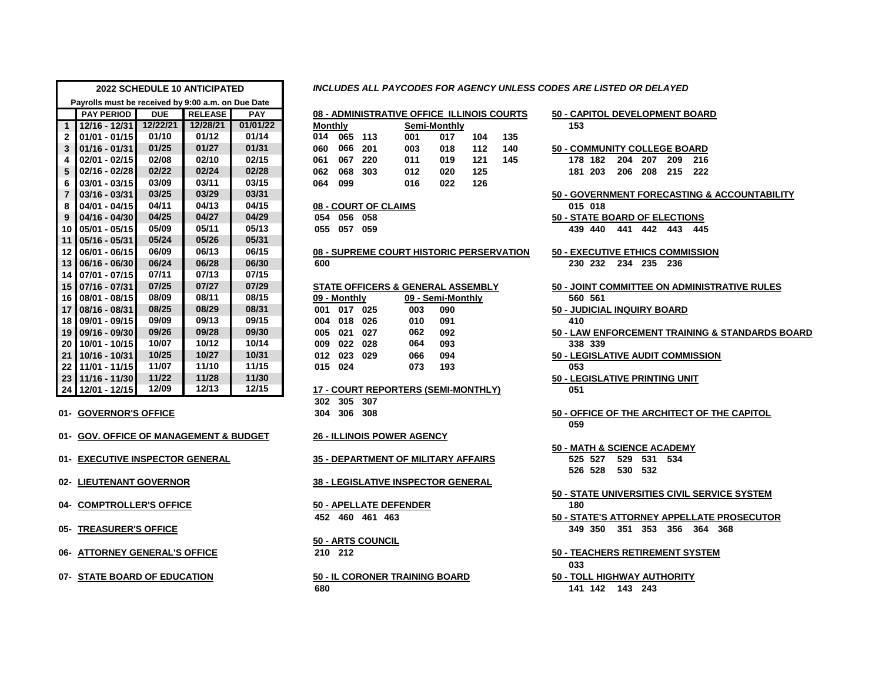| <b>2022 SCHEDULE 10 ANTICIPATED</b> |                                                    |            |                |            |                |              |                      |                                            |                   |       |     | INCLUDES ALL PAYCODES FOR AGENCY UNLESS CODES ARE LISTED OR DELAYED |
|-------------------------------------|----------------------------------------------------|------------|----------------|------------|----------------|--------------|----------------------|--------------------------------------------|-------------------|-------|-----|---------------------------------------------------------------------|
|                                     | Payrolls must be received by 9:00 a.m. on Due Date |            |                |            |                |              |                      |                                            |                   |       |     |                                                                     |
|                                     | <b>PAY PERIOD</b>                                  | <b>DUE</b> | <b>RELEASE</b> | <b>PAY</b> |                |              |                      | 08 - ADMINISTRATIVE OFFICE ILLINOIS COURTS |                   |       |     | 50 - CAPITOL DEVELOPMENT BOARD                                      |
| $\overline{1}$                      | $12/16 - 12/31$                                    | 12/22/21   | 12/28/21       | 01/01/22   | <b>Monthly</b> |              |                      |                                            | Semi-Monthly      |       |     | 153                                                                 |
| $\overline{2}$                      | $01/01 - 01/15$                                    | 01/10      | 01/12          | 01/14      |                | 014 065 113  |                      | 001                                        | 017               | 104   | 135 |                                                                     |
| $\overline{\mathbf{3}}$             | $ 01/16 - 01/31 $                                  | 01/25      | 01/27          | 01/31      | 060            | 066          | 201                  | 003                                        | 018               | $112$ | 140 | <b>50 - COMMUNITY COLLEGE BOARD</b>                                 |
| 4                                   | 02/01 - 02/15                                      | 02/08      | 02/10          | 02/15      | 061            | 067          | 220                  | 011                                        | 019               | 121   | 145 | 178 182<br>204 207<br>209<br>216                                    |
| 5                                   | $02/16 - 02/28$                                    | 02/22      | 02/24          | 02/28      | 062            | 068          | 303                  | 012                                        | 020               | 125   |     | 181 203<br>206 208<br>215<br>222                                    |
| 6                                   | $03/01 - 03/15$                                    | 03/09      | 03/11          | 03/15      | 064            | 099          |                      | 016                                        | 022               | 126   |     |                                                                     |
| $\overline{7}$                      | $03/16 - 03/31$                                    | 03/25      | 03/29          | 03/31      |                |              |                      |                                            |                   |       |     | 50 - GOVERNMENT FORECASTING & ACCOUNTAE                             |
| 8                                   | $ 04/01 - 04/15 $                                  | 04/11      | 04/13          | 04/15      |                |              | 08 - COURT OF CLAIMS |                                            |                   |       |     | 015 018                                                             |
| $\boldsymbol{9}$                    | $04/16 - 04/30$                                    | 04/25      | 04/27          | 04/29      |                | 054 056 058  |                      |                                            |                   |       |     | <b>50 - STATE BOARD OF ELECTIONS</b>                                |
| 10 <sup>1</sup>                     | 05/01 - 05/15                                      | 05/09      | 05/11          | 05/13      |                | 055 057 059  |                      |                                            |                   |       |     | 441 442 443 445<br>439 440                                          |
| 11                                  | 05/16 - 05/31                                      | 05/24      | 05/26          | 05/31      |                |              |                      |                                            |                   |       |     |                                                                     |
|                                     | 12 06/01 - 06/15                                   | 06/09      | 06/13          | 06/15      |                |              |                      | 08 - SUPREME COURT HISTORIC PERSERVATION   |                   |       |     | 50 - EXECUTIVE ETHICS COMMISSION                                    |
| 13                                  | $ 06/16 - 06/30 $                                  | 06/24      | 06/28          | 06/30      | 600            |              |                      |                                            |                   |       |     | 230 232<br>234 235 236                                              |
|                                     | 14 07/01 - 07/15                                   | 07/11      | 07/13          | 07/15      |                |              |                      |                                            |                   |       |     |                                                                     |
|                                     | 15 07/16 - 07/31                                   | 07/25      | 07/27          | 07/29      |                |              |                      | STATE OFFICERS & GENERAL ASSEMBLY          |                   |       |     | 50 - JOINT COMMITTEE ON ADMINISTRATIVE RUL                          |
|                                     | 16 08/01 - 08/15                                   | 08/09      | 08/11          | 08/15      |                | 09 - Monthly |                      |                                            | 09 - Semi-Monthly |       |     | 560 561                                                             |
| 17                                  | 08/16 - 08/31                                      | 08/25      | 08/29          | 08/31      |                | 001 017 025  |                      | 003                                        | 090               |       |     | 50 - JUDICIAL INQUIRY BOARD                                         |
| 18 <sup>1</sup>                     | 09/01 - 09/15                                      | 09/09      | 09/13          | 09/15      | 004            | 018          | 026                  | 010                                        | 091               |       |     | 410                                                                 |
| 19 <sup>1</sup>                     | $ 09/16 - 09/30 $                                  | 09/26      | 09/28          | 09/30      | 005            | 021          | 027                  | 062                                        | 092               |       |     | 50 - LAW ENFORCEMENT TRAINING & STANDARD                            |
| 20 <sub>1</sub>                     | 10/01 - 10/15                                      | 10/07      | 10/12          | 10/14      | 009            | 022          | 028                  | 064                                        | 093               |       |     | 338 339                                                             |
| 21                                  | 10/16 - 10/31                                      | 10/25      | 10/27          | 10/31      | 012            | 023          | 029                  | 066                                        | 094               |       |     | 50 - LEGISLATIVE AUDIT COMMISSION                                   |
| 22 <sub>1</sub>                     | 11/01 - 11/15                                      | 11/07      | 11/10          | 11/15      |                | 015 024      |                      | 073                                        | 193               |       |     | 053                                                                 |
|                                     | 23   11/16 - 11/30                                 | 11/22      | 11/28          | 11/30      |                |              |                      |                                            |                   |       |     | 50 - LEGISLATIVE PRINTING UNIT                                      |
|                                     | 24 12/01 - 12/15                                   | 12/09      | 12/13          | 12/15      |                |              |                      | <b>17 - COURT REPORTERS (SEMI-MONTHLY)</b> |                   |       |     | 051                                                                 |
|                                     |                                                    |            |                |            | 302            | 305          | 307                  |                                            |                   |       |     |                                                                     |
|                                     | 01- GOVERNOR'S OFFICE                              |            |                |            | 304            | 306          | 308                  |                                            |                   |       |     | 50 - OFFICE OF THE ARCHITECT OF THE CAPITOL                         |
|                                     |                                                    |            |                |            |                |              |                      |                                            |                   |       |     | 059                                                                 |

#### *INCLUDES ALL PAYCODES FOR AGENCY UNLESS CODES ARE LISTED OR DELAYED*

|                |             |         | 08 - ADMINISTRATIVE OFFICE ILLINOIS COURT |              |     |     |  |  |  |  |
|----------------|-------------|---------|-------------------------------------------|--------------|-----|-----|--|--|--|--|
| <b>Monthly</b> |             |         |                                           | Semi-Monthly |     |     |  |  |  |  |
|                | 014 065 113 |         | 001                                       | 017          | 104 | 135 |  |  |  |  |
| 060            |             | 066 201 | 003                                       | 018          | 112 | 140 |  |  |  |  |
| 061            |             | 067 220 | 011                                       | 019          | 121 | 145 |  |  |  |  |
| 062            | 880         | - 303   | 012                                       | 020          | 125 |     |  |  |  |  |
| 064            | 099         |         | 016                                       | 022          | 126 |     |  |  |  |  |
|                |             |         |                                           |              |     |     |  |  |  |  |

#### **04/01 - 04/15 04/11 04/13 04/15 08 - COURT OF CLAIMS 015 018**

| 154 | 056 | 058 |  |
|-----|-----|-----|--|
| 155 | 057 | 059 |  |

# **08 - SUPREME COURT HISTORIC PERSERVATION 508 - SUPREME COURT HISTORIC PERSERVATION**

### **5TATE OFFICERS & GENERAL ASSEMBLY**

| 9 - Monthly |     | <u>09 - Semi-Month</u> |  |  |  |  |
|-------------|-----|------------------------|--|--|--|--|
| 01 017 025  | 003 | - 090                  |  |  |  |  |
| 04 018 026  |     | 010 091                |  |  |  |  |
| 05 021 027  | 062 | 092                    |  |  |  |  |
| 09 022 028  | 064 | 093                    |  |  |  |  |
| 023 029     | 066 | 094                    |  |  |  |  |
| 15 024      | 073 | - 193                  |  |  |  |  |

#### **12/01 - 12/15 12/09 12/13 12/15 17 - COURT REPORTERS (SEMI-MONTHLY) 051**

#### **01- GOV. OFFICE OF MANAGEMENT & BUDGET 26 - ILLINOIS POWER AGENCY**

**01- EXECUTIVE INSPECTOR GENERAL 35 - DEPARTMENT OF MILITARY AFFAIRS 525 527 529 531 534**

#### **02- LIEUTENANT GOVERNOR 38 - LEGISLATIVE INSPECTOR GENERAL**

**04- COMPTROLLER'S OFFICE 50 - APELLATE DEFENDER 180 460 461 463 50 - STATE'S ATTORNEY APPELLATE PROSECUTOR**

## **50 - ARTS COUNCIL**

**141 142 143 243**

|                 | <b>PAY PERIOD</b>                      | <b>DUE</b> | <b>RELEASE</b> | <b>PAY</b> |     |                |                      | 08 - ADMINISTRATIVE OFFICE ILLINOIS COURTS   |                   |     |     | 50 - CAPITOL DEVELOPMENT BOARD                  |
|-----------------|----------------------------------------|------------|----------------|------------|-----|----------------|----------------------|----------------------------------------------|-------------------|-----|-----|-------------------------------------------------|
| $\mathbf{1}$    | 12/16 - 12/31                          | 12/22/21   | 12/28/21       | 01/01/22   |     | <b>Monthly</b> |                      |                                              | Semi-Monthly      |     |     | 153                                             |
| 2               | $01/01 - 01/15$                        | 01/10      | 01/12          | 01/14      |     | 014 065 113    |                      | 001                                          | 017               | 104 | 135 |                                                 |
| 3               | $01/16 - 01/31$                        | 01/25      | 01/27          | 01/31      | 060 | 066            | 201                  | 003                                          | 018               | 112 | 140 | <b>50 - COMMUNITY COLLEGE BOARD</b>             |
| 4               | $02/01 - 02/15$                        | 02/08      | 02/10          | 02/15      | 061 | 067            | 220                  | 011                                          | 019               | 121 | 145 | 178 182<br>204 207 209<br>216                   |
| 5               | $02/16 - 02/28$                        | 02/22      | 02/24          | 02/28      | 062 | 068            | 303                  | 012                                          | 020               | 125 |     | 181 203<br>206<br>208 215<br>222                |
| 6               | $03/01 - 03/15$                        | 03/09      | 03/11          | 03/15      | 064 | 099            |                      | 016                                          | 022               | 126 |     |                                                 |
| $\overline{7}$  | $03/16 - 03/31$                        | 03/25      | 03/29          | 03/31      |     |                |                      |                                              |                   |     |     | 50 - GOVERNMENT FORECASTING & ACCOUNTABILITY    |
| 8               | 04/01 - 04/15                          | 04/11      | 04/13          | 04/15      |     |                | 08 - COURT OF CLAIMS |                                              |                   |     |     | 015 018                                         |
| 9               | $04/16 - 04/30$                        | 04/25      | 04/27          | 04/29      |     | 054 056 058    |                      |                                              |                   |     |     | 50 - STATE BOARD OF ELECTIONS                   |
| 10 <sup>1</sup> | $05/01 - 05/15$                        | 05/09      | 05/11          | 05/13      |     | 055 057 059    |                      |                                              |                   |     |     | 439 440 441 442 443 445                         |
|                 | 11 05/16 - 05/31                       | 05/24      | 05/26          | 05/31      |     |                |                      |                                              |                   |     |     |                                                 |
| ا 12            | 06/01 - 06/15                          | 06/09      | 06/13          | 06/15      |     |                |                      | 08 - SUPREME COURT HISTORIC PERSERVATION     |                   |     |     | <b>50 - EXECUTIVE ETHICS COMMISSION</b>         |
|                 | 13   06/16 - 06/30                     | 06/24      | 06/28          | 06/30      | 600 |                |                      |                                              |                   |     |     | 230 232 234 235 236                             |
|                 | 14   07/01 - 07/15                     | 07/11      | 07/13          | 07/15      |     |                |                      |                                              |                   |     |     |                                                 |
|                 | 15   07/16 - 07/31                     | 07/25      | 07/27          | 07/29      |     |                |                      | <b>STATE OFFICERS &amp; GENERAL ASSEMBLY</b> |                   |     |     | 50 - JOINT COMMITTEE ON ADMINISTRATIVE RULES    |
|                 | 16   08/01 - 08/15                     | 08/09      | 08/11          | 08/15      |     | 09 - Monthly   |                      |                                              | 09 - Semi-Monthly |     |     | 560 561                                         |
| 17 I            | 08/16 - 08/31                          | 08/25      | 08/29          | 08/31      |     | 001 017 025    |                      | 003                                          | 090               |     |     | 50 - JUDICIAL INQUIRY BOARD                     |
|                 | 18 09/01 - 09/15                       | 09/09      | 09/13          | 09/15      | 004 | 018            | 026                  | 010                                          | 091               |     |     | 410                                             |
|                 | 19 09/16 - 09/30                       | 09/26      | 09/28          | 09/30      | 005 | 021            | 027                  | 062                                          | 092               |     |     | 50 - LAW ENFORCEMENT TRAINING & STANDARDS BOARD |
| 20 I            | 10/01 - 10/15                          | 10/07      | 10/12          | 10/14      | 009 | 022            | 028                  | 064                                          | 093               |     |     | 338 339                                         |
| 21              | 10/16 - 10/31                          | 10/25      | 10/27          | 10/31      | 012 | 023            | 029                  | 066                                          | 094               |     |     | 50 - LEGISLATIVE AUDIT COMMISSION               |
| 22 I            | 11/01 - 11/15                          | 11/07      | 11/10          | 11/15      | 015 | 024            |                      | 073                                          | 193               |     |     | 053                                             |
|                 | 23   11/16 - 11/30                     | 11/22      | 11/28          | 11/30      |     |                |                      |                                              |                   |     |     | 50 - LEGISLATIVE PRINTING UNIT                  |
|                 | 24   12/01 - 12/15                     | 12/09      | 12/13          | 12/15      |     |                |                      | 17 - COURT REPORTERS (SEMI-MONTHLY)          |                   |     |     | 051                                             |
|                 |                                        |            |                |            |     | 302 305        | - 307                |                                              |                   |     |     |                                                 |
|                 | 11- GOVERNOR'S OFFICE                  |            |                |            | 304 | 306 308        |                      |                                              |                   |     |     | 50 - OFFICE OF THE ARCHITECT OF THE CAPITOL     |
|                 |                                        |            |                |            |     |                |                      |                                              |                   |     |     | 059                                             |
|                 | 11- GOV. OFFICE OF MANAGEMENT & BUDGET |            |                |            |     |                |                      | <b>26 - ILLINOIS POWER AGENCY</b>            |                   |     |     |                                                 |
|                 |                                        |            |                |            |     |                |                      |                                              |                   |     |     | <b>50 - MATH &amp; SCIENCE ACADEMY</b>          |

**528 530 532**

# **50 - STATE UNIVERSITIES CIVIL SERVICE SYSTEM**

**05- TREASURER'S OFFICE 349 350 351 353 356 364 368**

## **06- ATTORNEY GENERAL'S OFFICE 210 212 50 - TEACHERS RETIREMENT SYSTEM 07- STATE BOARD OF EDUCATION 50 - IL CORONER TRAINING BOARD 50 - TOLL HIGHWAY AUTHORITY**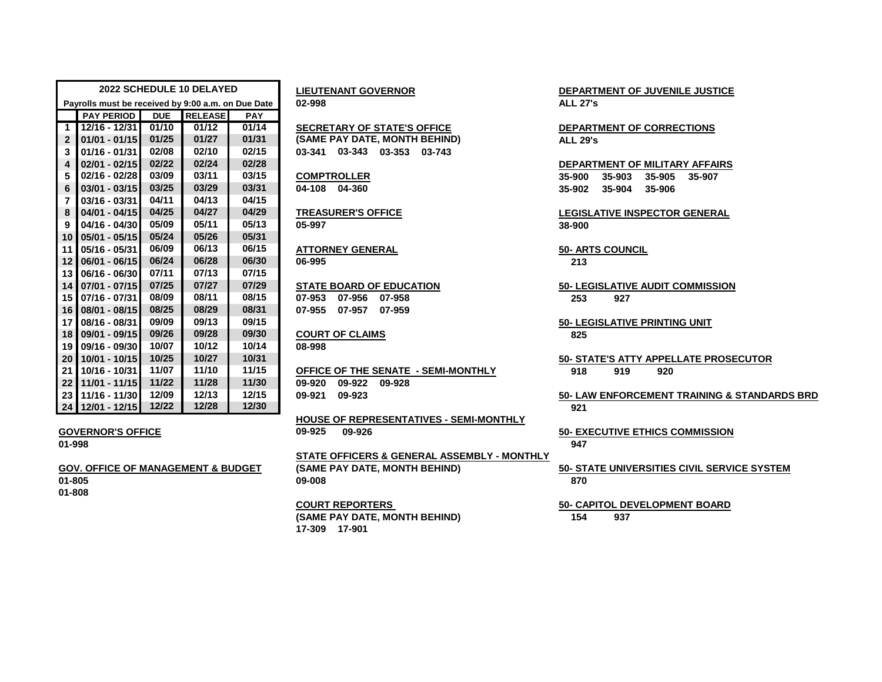| 2022 SCHEDULE 10 DELAYED                           |                   |            |                |            | <b>LIEUTENANT GOVERNOR</b>           | <b>DEPARTI</b>  |
|----------------------------------------------------|-------------------|------------|----------------|------------|--------------------------------------|-----------------|
| Payrolls must be received by 9:00 a.m. on Due Date |                   |            |                |            | 02-998                               | <b>ALL 27's</b> |
|                                                    | <b>PAY PERIOD</b> | <b>DUE</b> | <b>RELEASE</b> | <b>PAY</b> |                                      |                 |
| $\mathbf 1$                                        | 12/16 - 12/31     | 01/10      | 01/12          | 01/14      | <b>SECRETARY OF STATE'S OFFICE</b>   | <b>DEPARTI</b>  |
| $\overline{2}$                                     | $01/01 - 01/15$   | 01/25      | 01/27          | 01/31      | (SAME PAY DATE, MONTH BEHIND)        | <b>ALL 29's</b> |
| 3                                                  | $01/16 - 01/31$   | 02/08      | 02/10          | 02/15      | 03-343<br>03-353<br>03-341<br>03-743 |                 |
| 4                                                  | $02/01 - 02/15$   | 02/22      | 02/24          | 02/28      |                                      | <b>DEPARTI</b>  |
| 5                                                  | 02/16 - 02/28     | 03/09      | 03/11          | 03/15      | <b>COMPTROLLER</b>                   | 35-900          |
| 6                                                  | $03/01 - 03/15$   | 03/25      | 03/29          | 03/31      | 04-360<br>04-108                     | 35-902          |
| $\overline{7}$                                     | 03/16 - 03/31     | 04/11      | 04/13          | 04/15      |                                      |                 |
| 8                                                  | $04/01 - 04/15$   | 04/25      | 04/27          | 04/29      | <b>TREASURER'S OFFICE</b>            | <b>LEGISLA</b>  |
| $\boldsymbol{9}$                                   | 04/16 - 04/30     | 05/09      | 05/11          | 05/13      | 05-997                               | 38-900          |
| 10                                                 | $05/01 - 05/15$   | 05/24      | 05/26          | 05/31      |                                      |                 |
| 11                                                 | 05/16 - 05/31     | 06/09      | 06/13          | 06/15      | <b>ATTORNEY GENERAL</b>              | <b>50- ARTS</b> |
| 12                                                 | 06/01 - 06/15     | 06/24      | 06/28          | 06/30      | 06-995                               | 213             |
| 13                                                 | 06/16 - 06/30     | 07/11      | 07/13          | 07/15      |                                      |                 |
| 14                                                 | 07/01 - 07/15     | 07/25      | 07/27          | 07/29      | <b>STATE BOARD OF EDUCATION</b>      | 50-LEGIS        |
| 15                                                 | 07/16 - 07/31     | 08/09      | 08/11          | 08/15      | 07-953<br>07-956<br>07-958           | 253             |
| 16                                                 | 08/01 - 08/15     | 08/25      | 08/29          | 08/31      | 07-955<br>07-957<br>07-959           |                 |
| 17                                                 | 08/16 - 08/31     | 09/09      | 09/13          | 09/15      |                                      | 50-LEGIS        |
| 18                                                 | 09/01 - 09/15     | 09/26      | 09/28          | 09/30      | <b>COURT OF CLAIMS</b>               | 825             |
| 19                                                 | 09/16 - 09/30     | 10/07      | 10/12          | 10/14      | 08-998                               |                 |
| 20                                                 | 10/01 - 10/15     | 10/25      | 10/27          | 10/31      |                                      | 50-STAT         |
| 21                                                 | 10/16 - 10/31     | 11/07      | 11/10          | 11/15      | OFFICE OF THE SENATE - SEMI-MONTHLY  | 918             |
| 22                                                 | 11/01 - 11/15     | 11/22      | 11/28          | 11/30      | 09-920<br>09-922<br>09-928           |                 |
| 23                                                 | 11/16 - 11/30     | 12/09      | 12/13          | 12/15      | 09-923<br>09-921                     | 50- LAW         |
|                                                    | 24 12/01 - 12/15  | 12/22      | 12/28          | 12/30      |                                      | 921             |

**01-808**

 **07/16 - 07/31 08/09 08/11 08/15 07-953 07-956 07-958 253 927 08/01 - 08/15 08/25 08/29 08/31 07-955 07-957 07-959**

## **09/01 - 09/15 09/26 09/28 09/30 COURT OF CLAIMS 825**

 **10/16 - 10/31 11/07 11/10 11/15 OFFICE OF THE SENATE - SEMI-MONTHLY 918 919 920 11/01 - 11/15 11/22 11/28 11/30 09-920 09-922 09-928**

**HOUSE OF REPRESENTATIVES - SEMI-MONTHLY GOVERNOR'S OFFICE 09-925 09-926 50- EXECUTIVE ETHICS COMMISSION**

**STATE OFFICERS & GENERAL ASSEMBLY - MONTHLY GOV. OFFICE OF MANAGEMENT & BUDGET (SAME PAY DATE, MONTH BEHIND) 50- STATE UNIVERSITIES CIVIL SERVICE SYSTEM 01-805 09-008 870**

**(SAME PAY DATE, MONTH BEHIND) 154 937 17-309 17-901**

**2022 SCHEDULE 10 DELAYED LIEUTENANT GOVERNOR DEPARTMENT OF JUVENILE JUSTICE**

 **12/16 - 12/31 01/10 01/12 01/14 SECRETARY OF STATE'S OFFICE DEPARTMENT OF CORRECTIONS ALL 29's** 

 **02/01 - 02/15 02/22 02/24 02/28 DEPARTMENT OF MILITARY AFFAIRS 02/16 - 02/28 03/09 03/11 03/15 COMPTROLLER 35-900 35-903 35-905 35-907 03/01 - 03/15 03/25 03/29 03/31 04-108 04-360 35-902 35-904 35-906**

**04/01 - 04/15 04/25 04/27 04/29 TREASURER'S OFFICE LEGISLATIVE INSPECTOR GENERAL**

**05/16 - 05/31 06/09 06/13 06/15 ATTORNEY GENERAL 50- ARTS COUNCIL**

**07/01 - 07/15 07/25 07/27 07/29 STATE BOARD OF EDUCATION 50- LEGISLATIVE AUDIT COMMISSION**

**08/16 - 08/31 09/09 09/13 09/15 50- LEGISLATIVE PRINTING UNIT**

**10/01 - 10/15 10/25 10/27 10/31 50- STATE'S ATTY APPELLATE PROSECUTOR**

**11/16 - 11/30 12/09 12/13 12/15 09-921 09-923 50- LAW ENFORCEMENT TRAINING & STANDARDS BRD**

**01-998 947**

**COURT REPORTERS 50- CAPITOL DEVELOPMENT BOARD**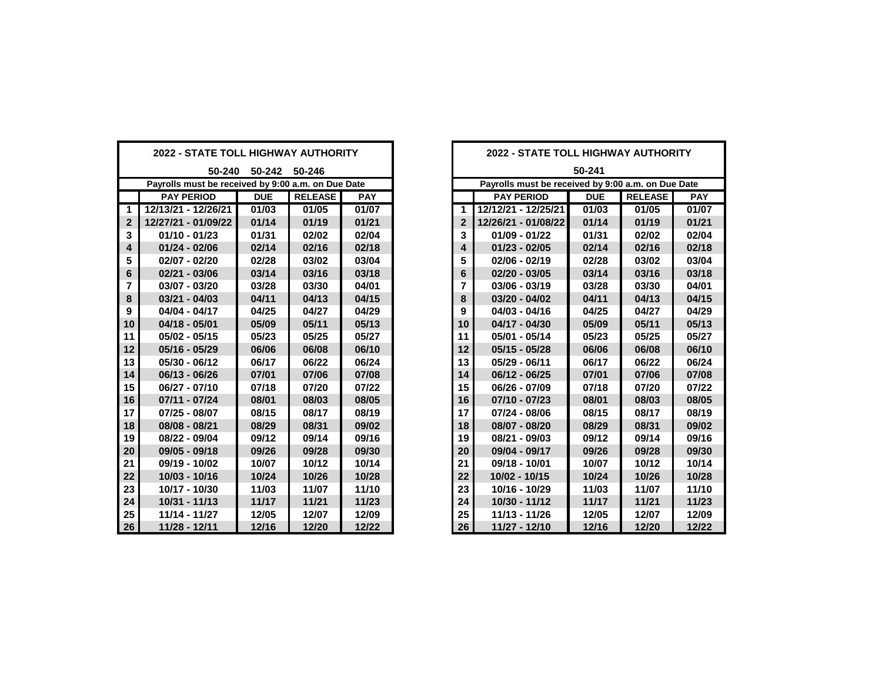| <b>2022 - STATE TOLL HIGHWAY AUTHORITY</b>         |                     |            |                | <b>2022 - STATE TOLL HIGHWAY AUTHORITY</b> |                |                                                    |            |                |            |
|----------------------------------------------------|---------------------|------------|----------------|--------------------------------------------|----------------|----------------------------------------------------|------------|----------------|------------|
| 50-240 50-242 50-246                               |                     |            |                |                                            | 50-241         |                                                    |            |                |            |
| Payrolls must be received by 9:00 a.m. on Due Date |                     |            |                |                                            |                | Payrolls must be received by 9:00 a.m. on Due Date |            |                |            |
|                                                    | <b>PAY PERIOD</b>   | <b>DUE</b> | <b>RELEASE</b> | <b>PAY</b>                                 |                | <b>PAY PERIOD</b>                                  | <b>DUE</b> | <b>RELEASE</b> | <b>PAY</b> |
| $\mathbf 1$                                        | 12/13/21 - 12/26/21 | 01/03      | 01/05          | 01/07                                      | $\mathbf 1$    | 12/12/21 - 12/25/21                                | 01/03      | 01/05          | 01/07      |
| $\mathbf{2}$                                       | 12/27/21 - 01/09/22 | 01/14      | 01/19          | 01/21                                      | $\overline{2}$ | 12/26/21 - 01/08/22                                | 01/14      | 01/19          | 01/21      |
| 3                                                  | $01/10 - 01/23$     | 01/31      | 02/02          | 02/04                                      | 3              | $01/09 - 01/22$                                    | 01/31      | 02/02          | 02/04      |
| 4                                                  | $01/24 - 02/06$     | 02/14      | 02/16          | 02/18                                      | 4              | $01/23 - 02/05$                                    | 02/14      | 02/16          | 02/18      |
| 5                                                  | $02/07 - 02/20$     | 02/28      | 03/02          | 03/04                                      | 5              | $02/06 - 02/19$                                    | 02/28      | 03/02          | 03/04      |
| 6                                                  | $02/21 - 03/06$     | 03/14      | 03/16          | 03/18                                      | 6              | $02/20 - 03/05$                                    | 03/14      | 03/16          | 03/18      |
| $\overline{7}$                                     | $03/07 - 03/20$     | 03/28      | 03/30          | 04/01                                      | $\overline{7}$ | $03/06 - 03/19$                                    | 03/28      | 03/30          | 04/01      |
| 8                                                  | $03/21 - 04/03$     | 04/11      | 04/13          | 04/15                                      | 8              | $03/20 - 04/02$                                    | 04/11      | 04/13          | 04/15      |
| 9                                                  | 04/04 - 04/17       | 04/25      | 04/27          | 04/29                                      | 9              | 04/03 - 04/16                                      | 04/25      | 04/27          | 04/29      |
| 10                                                 | $04/18 - 05/01$     | 05/09      | 05/11          | 05/13                                      | 10             | $04/17 - 04/30$                                    | 05/09      | 05/11          | 05/13      |
| 11                                                 | $05/02 - 05/15$     | 05/23      | 05/25          | 05/27                                      | 11             | 05/01 - 05/14                                      | 05/23      | 05/25          | 05/27      |
| 12                                                 | $05/16 - 05/29$     | 06/06      | 06/08          | 06/10                                      | 12             | $05/15 - 05/28$                                    | 06/06      | 06/08          | 06/10      |
| 13                                                 | 05/30 - 06/12       | 06/17      | 06/22          | 06/24                                      | 13             | 05/29 - 06/11                                      | 06/17      | 06/22          | 06/24      |
| 14                                                 | 06/13 - 06/26       | 07/01      | 07/06          | 07/08                                      | 14             | 06/12 - 06/25                                      | 07/01      | 07/06          | 07/08      |
| 15                                                 | 06/27 - 07/10       | 07/18      | 07/20          | 07/22                                      | 15             | 06/26 - 07/09                                      | 07/18      | 07/20          | 07/22      |
| 16                                                 | $07/11 - 07/24$     | 08/01      | 08/03          | 08/05                                      | 16             | $07/10 - 07/23$                                    | 08/01      | 08/03          | 08/05      |
| 17                                                 | 07/25 - 08/07       | 08/15      | 08/17          | 08/19                                      | 17             | 07/24 - 08/06                                      | 08/15      | 08/17          | 08/19      |
| 18                                                 | 08/08 - 08/21       | 08/29      | 08/31          | 09/02                                      | 18             | 08/07 - 08/20                                      | 08/29      | 08/31          | 09/02      |
| 19                                                 | 08/22 - 09/04       | 09/12      | 09/14          | 09/16                                      | 19             | 08/21 - 09/03                                      | 09/12      | 09/14          | 09/16      |
| 20                                                 | 09/05 - 09/18       | 09/26      | 09/28          | 09/30                                      | 20             | 09/04 - 09/17                                      | 09/26      | 09/28          | 09/30      |
| 21                                                 | 09/19 - 10/02       | 10/07      | 10/12          | 10/14                                      | 21             | 09/18 - 10/01                                      | 10/07      | 10/12          | 10/14      |
| 22                                                 | 10/03 - 10/16       | 10/24      | 10/26          | 10/28                                      | 22             | 10/02 - 10/15                                      | 10/24      | 10/26          | 10/28      |
| 23                                                 | 10/17 - 10/30       | 11/03      | 11/07          | 11/10                                      | 23             | 10/16 - 10/29                                      | 11/03      | 11/07          | 11/10      |
| 24                                                 | 10/31 - 11/13       | 11/17      | 11/21          | 11/23                                      | 24             | 10/30 - 11/12                                      | 11/17      | 11/21          | 11/23      |
| 25                                                 | 11/14 - 11/27       | 12/05      | 12/07          | 12/09                                      | 25             | 11/13 - 11/26                                      | 12/05      | 12/07          | 12/09      |
| 26                                                 | 11/28 - 12/11       | 12/16      | 12/20          | 12/22                                      | 26             | 11/27 - 12/10                                      | 12/16      | 12/20          | 12/22      |

| )22 - STATE TOLL HIGHWAY AUTHORITY              |            |                |            | 2022 - STATE TOLL HIGHWAY AUTHORITY |                                                    |            |                |            |
|-------------------------------------------------|------------|----------------|------------|-------------------------------------|----------------------------------------------------|------------|----------------|------------|
| 50-240                                          | 50-242     | 50-246         |            |                                     |                                                    | 50-241     |                |            |
| rolls must be received by 9:00 a.m. on Due Date |            |                |            |                                     | Payrolls must be received by 9:00 a.m. on Due Date |            |                |            |
| <b>PAY PERIOD</b>                               | <b>DUE</b> | <b>RELEASE</b> | <b>PAY</b> |                                     | <b>PAY PERIOD</b>                                  | <b>DUE</b> | <b>RELEASE</b> | <b>PAY</b> |
| 13/21 - 12/26/21                                | 01/03      | 01/05          | 01/07      | $\blacktriangleleft$                | 12/12/21 - 12/25/21                                | 01/03      | 01/05          | 01/07      |
| 27/21 - 01/09/22                                | 01/14      | 01/19          | 01/21      | $\overline{2}$                      | 12/26/21 - 01/08/22                                | 01/14      | 01/19          | 01/21      |
| 01/10 - 01/23                                   | 01/31      | 02/02          | 02/04      | 3                                   | $01/09 - 01/22$                                    | 01/31      | 02/02          | 02/04      |
| 01/24 - 02/06                                   | 02/14      | 02/16          | 02/18      | 4                                   | $01/23 - 02/05$                                    | 02/14      | 02/16          | 02/18      |
| 02/07 - 02/20                                   | 02/28      | 03/02          | 03/04      | 5                                   | $02/06 - 02/19$                                    | 02/28      | 03/02          | 03/04      |
| 02/21 - 03/06                                   | 03/14      | 03/16          | 03/18      | 6                                   | $02/20 - 03/05$                                    | 03/14      | 03/16          | 03/18      |
| 03/07 - 03/20                                   | 03/28      | 03/30          | 04/01      | 7                                   | $03/06 - 03/19$                                    | 03/28      | 03/30          | 04/01      |
| 03/21 - 04/03                                   | 04/11      | 04/13          | 04/15      | 8                                   | $03/20 - 04/02$                                    | 04/11      | 04/13          | 04/15      |
| 04/04 - 04/17                                   | 04/25      | 04/27          | 04/29      | 9                                   | $04/03 - 04/16$                                    | 04/25      | 04/27          | 04/29      |
| 04/18 - 05/01                                   | 05/09      | 05/11          | 05/13      | 10                                  | 04/17 - 04/30                                      | 05/09      | 05/11          | 05/13      |
| 05/02 - 05/15                                   | 05/23      | 05/25          | 05/27      | 11                                  | $05/01 - 05/14$                                    | 05/23      | 05/25          | 05/27      |
| 05/16 - 05/29                                   | 06/06      | 06/08          | 06/10      | 12                                  | $05/15 - 05/28$                                    | 06/06      | 06/08          | 06/10      |
| 05/30 - 06/12                                   | 06/17      | 06/22          | 06/24      | 13                                  | 05/29 - 06/11                                      | 06/17      | 06/22          | 06/24      |
| 06/13 - 06/26                                   | 07/01      | 07/06          | 07/08      | 14                                  | 06/12 - 06/25                                      | 07/01      | 07/06          | 07/08      |
| 06/27 - 07/10                                   | 07/18      | 07/20          | 07/22      | 15                                  | 06/26 - 07/09                                      | 07/18      | 07/20          | 07/22      |
| 07/11 - 07/24                                   | 08/01      | 08/03          | 08/05      | 16                                  | $07/10 - 07/23$                                    | 08/01      | 08/03          | 08/05      |
| 17/25 - 08/07                                   | 08/15      | 08/17          | 08/19      | 17                                  | 07/24 - 08/06                                      | 08/15      | 08/17          | 08/19      |
| 08/08 - 08/21                                   | 08/29      | 08/31          | 09/02      | 18                                  | 08/07 - 08/20                                      | 08/29      | 08/31          | 09/02      |
| 08/22 - 09/04                                   | 09/12      | 09/14          | 09/16      | 19                                  | 08/21 - 09/03                                      | 09/12      | 09/14          | 09/16      |
| 09/05 - 09/18                                   | 09/26      | 09/28          | 09/30      | 20                                  | 09/04 - 09/17                                      | 09/26      | 09/28          | 09/30      |
| )9/19 - 10/02                                   | 10/07      | 10/12          | 10/14      | 21                                  | 09/18 - 10/01                                      | 10/07      | 10/12          | 10/14      |
| 10/03 - 10/16                                   | 10/24      | 10/26          | 10/28      | 22                                  | 10/02 - 10/15                                      | 10/24      | 10/26          | 10/28      |
| 10/17 - 10/30                                   | 11/03      | 11/07          | 11/10      | 23                                  | 10/16 - 10/29                                      | 11/03      | 11/07          | 11/10      |
| 10/31 - 11/13                                   | 11/17      | 11/21          | 11/23      | 24                                  | 10/30 - 11/12                                      | 11/17      | 11/21          | 11/23      |
| 11/14 - 11/27                                   | 12/05      | 12/07          | 12/09      | 25                                  | 11/13 - 11/26                                      | 12/05      | 12/07          | 12/09      |
| 11/28 - 12/11                                   | 12/16      | 12/20          | 12/22      | 26                                  | 11/27 - 12/10                                      | 12/16      | 12/20          | 12/22      |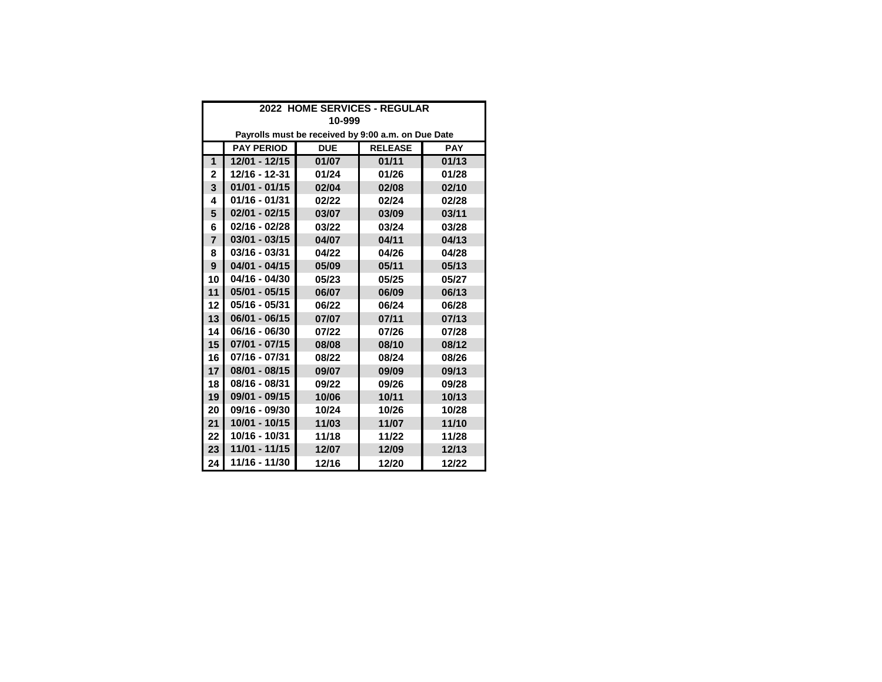| 2022 HOME SERVICES - REGULAR                       |                                                                 |       |       |       |  |  |  |  |  |
|----------------------------------------------------|-----------------------------------------------------------------|-------|-------|-------|--|--|--|--|--|
| 10-999                                             |                                                                 |       |       |       |  |  |  |  |  |
| Payrolls must be received by 9:00 a.m. on Due Date |                                                                 |       |       |       |  |  |  |  |  |
|                                                    | <b>RELEASE</b><br><b>PAY PERIOD</b><br><b>PAY</b><br><b>DUE</b> |       |       |       |  |  |  |  |  |
| 1                                                  | 12/01 - 12/15                                                   | 01/07 | 01/11 | 01/13 |  |  |  |  |  |
| $\mathbf{2}$                                       | 12/16 - 12-31                                                   | 01/24 | 01/26 | 01/28 |  |  |  |  |  |
| 3                                                  | $01/01 - 01/15$                                                 | 02/04 | 02/08 | 02/10 |  |  |  |  |  |
| 4                                                  | 01/16 - 01/31                                                   | 02/22 | 02/24 | 02/28 |  |  |  |  |  |
| 5                                                  | $02/01 - 02/15$                                                 | 03/07 | 03/09 | 03/11 |  |  |  |  |  |
| 6                                                  | $02/16 - 02/28$                                                 | 03/22 | 03/24 | 03/28 |  |  |  |  |  |
| $\overline{7}$                                     | $03/01 - 03/15$                                                 | 04/07 | 04/11 | 04/13 |  |  |  |  |  |
| 8                                                  | 03/16 - 03/31                                                   | 04/22 | 04/26 | 04/28 |  |  |  |  |  |
| $\mathbf{9}$                                       | $04/01 - 04/15$                                                 | 05/09 | 05/11 | 05/13 |  |  |  |  |  |
| 10                                                 | 04/16 - 04/30                                                   | 05/23 | 05/25 | 05/27 |  |  |  |  |  |
| 11                                                 | $05/01 - 05/15$                                                 | 06/07 | 06/09 | 06/13 |  |  |  |  |  |
| 12                                                 | 05/16 - 05/31                                                   | 06/22 | 06/24 | 06/28 |  |  |  |  |  |
| 13                                                 | $06/01 - 06/15$                                                 | 07/07 | 07/11 | 07/13 |  |  |  |  |  |
| 14                                                 | 06/16 - 06/30                                                   | 07/22 | 07/26 | 07/28 |  |  |  |  |  |
| 15                                                 | $07/01 - 07/15$                                                 | 08/08 | 08/10 | 08/12 |  |  |  |  |  |
| 16                                                 | 07/16 - 07/31                                                   | 08/22 | 08/24 | 08/26 |  |  |  |  |  |
| 17                                                 | 08/01 - 08/15                                                   | 09/07 | 09/09 | 09/13 |  |  |  |  |  |
| 18                                                 | 08/16 - 08/31                                                   | 09/22 | 09/26 | 09/28 |  |  |  |  |  |
| 19                                                 | 09/01 - 09/15                                                   | 10/06 | 10/11 | 10/13 |  |  |  |  |  |
| 20                                                 | 09/16 - 09/30                                                   | 10/24 | 10/26 | 10/28 |  |  |  |  |  |
| 21                                                 | 10/01 - 10/15                                                   | 11/03 | 11/07 | 11/10 |  |  |  |  |  |
| 22                                                 | 10/16 - 10/31                                                   | 11/18 | 11/22 | 11/28 |  |  |  |  |  |
| 23                                                 | 11/01 - 11/15                                                   | 12/07 | 12/09 | 12/13 |  |  |  |  |  |
| 24                                                 | 11/16 - 11/30                                                   | 12/16 | 12/20 | 12/22 |  |  |  |  |  |